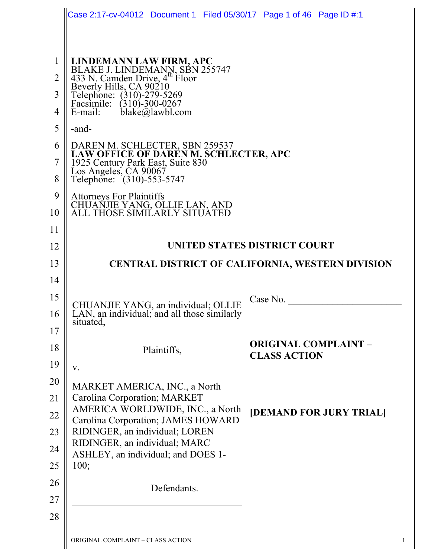|                | Case 2:17-cv-04012  Document 1  Filed 05/30/17  Page 1 of 46  Page ID #:1                                                                                                                                              |                                                    |  |
|----------------|------------------------------------------------------------------------------------------------------------------------------------------------------------------------------------------------------------------------|----------------------------------------------------|--|
|                |                                                                                                                                                                                                                        |                                                    |  |
| $\mathbf{1}$   |                                                                                                                                                                                                                        |                                                    |  |
| $\overline{2}$ |                                                                                                                                                                                                                        |                                                    |  |
| 3              | LINDEMANN LAW FIRM, APC<br>BLAKE J. LINDEMANN, SBN 255747<br>433 N. Camden Drive, 4 <sup>th</sup> Floor<br>Beverly Hills, CA 90210<br>Telephone: (310)-279-5269<br>Facsimile: (310)-300-0267<br>Emsil: blaks@lawbl.com |                                                    |  |
| 4              | $black\in\mathbb{Q}$ lawbl.com<br>E-mail:                                                                                                                                                                              |                                                    |  |
| 5              | -and-                                                                                                                                                                                                                  |                                                    |  |
| 6              |                                                                                                                                                                                                                        |                                                    |  |
| 7              | DAREN M. SCHLECTER, SBN 259537<br>LAW OFFICE OF DAREN M. SCHLECTER, APC<br>1925 Century Park East, Suite 830<br>Los Angeles, CA 90067                                                                                  |                                                    |  |
| 8              | Telephone: (310)-553-5747                                                                                                                                                                                              |                                                    |  |
| 9              | <b>Attorneys For Plaintiffs</b>                                                                                                                                                                                        |                                                    |  |
| 10             | CHUANJIE YANG, OLLIE LAN, AND<br>ALL THOSE SIMILARLY SITUATED                                                                                                                                                          |                                                    |  |
| 11             |                                                                                                                                                                                                                        |                                                    |  |
| 12             | UNITED STATES DISTRICT COURT                                                                                                                                                                                           |                                                    |  |
| 13             | <b>CENTRAL DISTRICT OF CALIFORNIA, WESTERN DIVISION</b>                                                                                                                                                                |                                                    |  |
| 14             |                                                                                                                                                                                                                        |                                                    |  |
| 15             | CHUANJIE YANG, an individual; OLLIE<br>LAN, an individual; and all those similarly                                                                                                                                     | Case No.                                           |  |
| 16             | situated,                                                                                                                                                                                                              |                                                    |  |
| 17             |                                                                                                                                                                                                                        |                                                    |  |
| 18             | Plaintiffs,                                                                                                                                                                                                            | <b>ORIGINAL COMPLAINT -</b><br><b>CLASS ACTION</b> |  |
| 19             | V.                                                                                                                                                                                                                     |                                                    |  |
| 20             | MARKET AMERICA, INC., a North                                                                                                                                                                                          |                                                    |  |
| 21             | Carolina Corporation; MARKET<br>AMERICA WORLDWIDE, INC., a North                                                                                                                                                       | [DEMAND FOR JURY TRIAL]                            |  |
| 22             | Carolina Corporation; JAMES HOWARD                                                                                                                                                                                     |                                                    |  |
| 23<br>24       | RIDINGER, an individual; LOREN<br>RIDINGER, an individual; MARC                                                                                                                                                        |                                                    |  |
| 25             | ASHLEY, an individual; and DOES 1-<br>100;                                                                                                                                                                             |                                                    |  |
|                |                                                                                                                                                                                                                        |                                                    |  |
|                |                                                                                                                                                                                                                        |                                                    |  |
| 26             | Defendants.                                                                                                                                                                                                            |                                                    |  |
| 27<br>28       |                                                                                                                                                                                                                        |                                                    |  |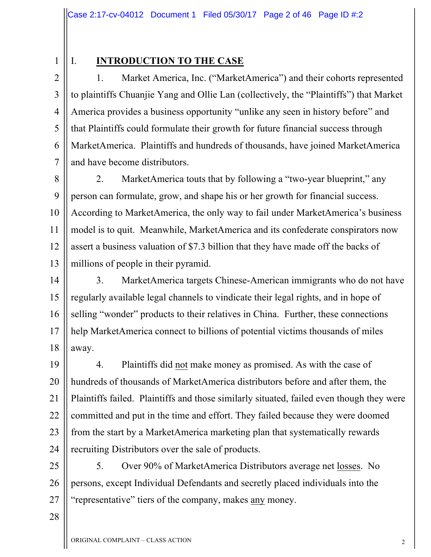### I. **INTRODUCTION TO THE CASE**

2 2 3 3 4 4 5 5 6 6 7 7 1. Market America, Inc. ("MarketAmerica") and their cohorts represented to plaintiffs Chuanjie Yang and Ollie Lan (collectively, the "Plaintiffs") that Market America provides a business opportunity "unlike any seen in history before" and that Plaintiffs could formulate their growth for future financial success through MarketAmerica. Plaintiffs and hundreds of thousands, have joined MarketAmerica and have become distributors.

8 8 9 9 10 10 11 11 12 12 13 13 2. MarketAmerica touts that by following a "two-year blueprint," any person can formulate, grow, and shape his or her growth for financial success. According to MarketAmerica, the only way to fail under MarketAmerica's business model is to quit. Meanwhile, MarketAmerica and its confederate conspirators now assert a business valuation of \$7.3 billion that they have made off the backs of millions of people in their pyramid.

14 14 15 15 16 16 17 17 18 18 3. MarketAmerica targets Chinese-American immigrants who do not have regularly available legal channels to vindicate their legal rights, and in hope of selling "wonder" products to their relatives in China. Further, these connections help MarketAmerica connect to billions of potential victims thousands of miles away.

19 19 20 20 21 21 22 22 23 23 24 24 4. Plaintiffs did not make money as promised. As with the case of hundreds of thousands of MarketAmerica distributors before and after them, the Plaintiffs failed. Plaintiffs and those similarly situated, failed even though they were committed and put in the time and effort. They failed because they were doomed from the start by a MarketAmerica marketing plan that systematically rewards recruiting Distributors over the sale of products.

25 25 26 26 27 27 5. Over 90% of MarketAmerica Distributors average net losses. No persons, except Individual Defendants and secretly placed individuals into the "representative" tiers of the company, makes any money.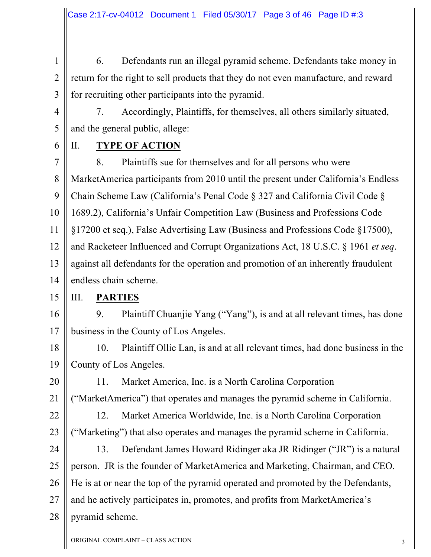1 1 2 2 3 3 6. Defendants run an illegal pyramid scheme. Defendants take money in return for the right to sell products that they do not even manufacture, and reward for recruiting other participants into the pyramid.

4 4

5 5

7. Accordingly, Plaintiffs, for themselves, all others similarly situated, and the general public, allege:

6 6

### II. **TYPE OF ACTION**

7 7 8 8 9 9 10 10 11 11 12 12 13 13 14 14 8. Plaintiffs sue for themselves and for all persons who were MarketAmerica participants from 2010 until the present under California's Endless Chain Scheme Law (California's Penal Code § 327 and California Civil Code § 1689.2), California's Unfair Competition Law (Business and Professions Code §17200 et seq.), False Advertising Law (Business and Professions Code §17500), and Racketeer Influenced and Corrupt Organizations Act, 18 U.S.C. § 1961 *et seq*. against all defendants for the operation and promotion of an inherently fraudulent endless chain scheme.

15 15 III. **PARTIES**

16 16 17 17 9. Plaintiff Chuanjie Yang ("Yang"), is and at all relevant times, has done business in the County of Los Angeles.

18 18 19 19 10. Plaintiff Ollie Lan, is and at all relevant times, had done business in the County of Los Angeles.

20 20 21 21 11. Market America, Inc. is a North Carolina Corporation ("MarketAmerica") that operates and manages the pyramid scheme in California.

22 22

23 23

12. Market America Worldwide, Inc. is a North Carolina Corporation ("Marketing") that also operates and manages the pyramid scheme in California.

24 24 25 25 26 26 27 27 28 28 13. Defendant James Howard Ridinger aka JR Ridinger ("JR") is a natural person. JR is the founder of MarketAmerica and Marketing, Chairman, and CEO. He is at or near the top of the pyramid operated and promoted by the Defendants, and he actively participates in, promotes, and profits from MarketAmerica's pyramid scheme.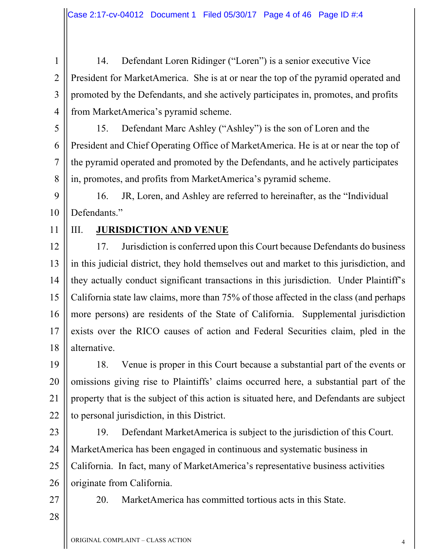1 1 2 2 3 3 4 4 14. Defendant Loren Ridinger ("Loren") is a senior executive Vice President for MarketAmerica. She is at or near the top of the pyramid operated and promoted by the Defendants, and she actively participates in, promotes, and profits from MarketAmerica's pyramid scheme.

5 5 6 6 7 7 8 8 15. Defendant Marc Ashley ("Ashley") is the son of Loren and the President and Chief Operating Office of MarketAmerica. He is at or near the top of the pyramid operated and promoted by the Defendants, and he actively participates in, promotes, and profits from MarketAmerica's pyramid scheme.

9 9 10 10 16. JR, Loren, and Ashley are referred to hereinafter, as the "Individual Defendants."

11 11

### III. **JURISDICTION AND VENUE**

12 12 13 13 14 14 15 15 16 16 17 17 18 18 17. Jurisdiction is conferred upon this Court because Defendants do business in this judicial district, they hold themselves out and market to this jurisdiction, and they actually conduct significant transactions in this jurisdiction. Under Plaintiff's California state law claims, more than 75% of those affected in the class (and perhaps more persons) are residents of the State of California. Supplemental jurisdiction exists over the RICO causes of action and Federal Securities claim, pled in the alternative.

19 19 20 20 21 21 22 22 18. Venue is proper in this Court because a substantial part of the events or omissions giving rise to Plaintiffs' claims occurred here, a substantial part of the property that is the subject of this action is situated here, and Defendants are subject to personal jurisdiction, in this District.

23 23 24 24 25 25 26 26 19. Defendant MarketAmerica is subject to the jurisdiction of this Court. MarketAmerica has been engaged in continuous and systematic business in California. In fact, many of MarketAmerica's representative business activities originate from California.

27 27

20. MarketAmerica has committed tortious acts in this State.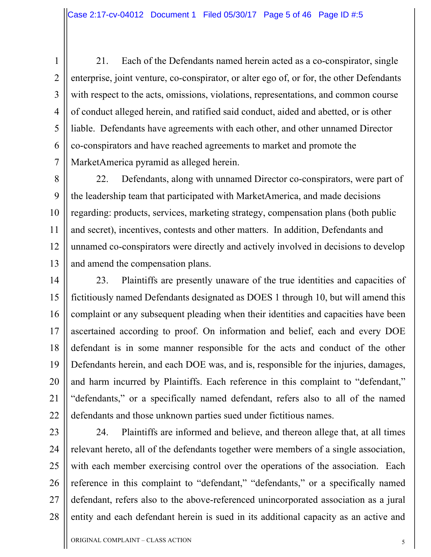2 2

3 3

4 4

5 5

6 6

7 7

21. Each of the Defendants named herein acted as a co-conspirator, single enterprise, joint venture, co-conspirator, or alter ego of, or for, the other Defendants with respect to the acts, omissions, violations, representations, and common course of conduct alleged herein, and ratified said conduct, aided and abetted, or is other liable. Defendants have agreements with each other, and other unnamed Director co-conspirators and have reached agreements to market and promote the MarketAmerica pyramid as alleged herein.

8 8 9 9 10 10 11 11 12 12 13 13 22. Defendants, along with unnamed Director co-conspirators, were part of the leadership team that participated with MarketAmerica, and made decisions regarding: products, services, marketing strategy, compensation plans (both public and secret), incentives, contests and other matters. In addition, Defendants and unnamed co-conspirators were directly and actively involved in decisions to develop and amend the compensation plans.

14 14 15 15 16 16 17 17 18 18 19 19 20 20 21 21 22 22 23. Plaintiffs are presently unaware of the true identities and capacities of fictitiously named Defendants designated as DOES 1 through 10, but will amend this complaint or any subsequent pleading when their identities and capacities have been ascertained according to proof. On information and belief, each and every DOE defendant is in some manner responsible for the acts and conduct of the other Defendants herein, and each DOE was, and is, responsible for the injuries, damages, and harm incurred by Plaintiffs. Each reference in this complaint to "defendant," "defendants," or a specifically named defendant, refers also to all of the named defendants and those unknown parties sued under fictitious names.

23 23 24 24 25 25 26 26 27 27 28 28 24. Plaintiffs are informed and believe, and thereon allege that, at all times relevant hereto, all of the defendants together were members of a single association, with each member exercising control over the operations of the association. Each reference in this complaint to "defendant," "defendants," or a specifically named defendant, refers also to the above-referenced unincorporated association as a jural entity and each defendant herein is sued in its additional capacity as an active and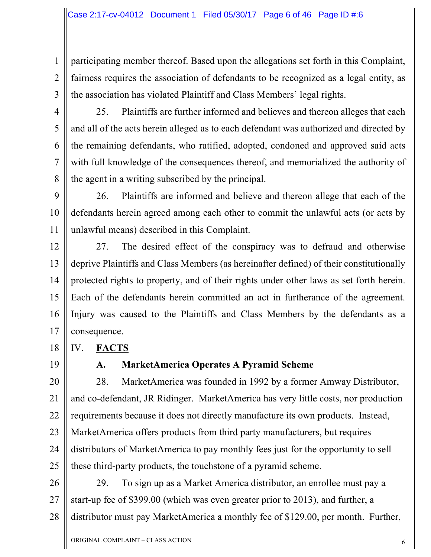1 1 2 2 3 3 participating member thereof. Based upon the allegations set forth in this Complaint, fairness requires the association of defendants to be recognized as a legal entity, as the association has violated Plaintiff and Class Members' legal rights.

4 4

5 5

6 6

7 7

8 8

25. Plaintiffs are further informed and believes and thereon alleges that each and all of the acts herein alleged as to each defendant was authorized and directed by the remaining defendants, who ratified, adopted, condoned and approved said acts with full knowledge of the consequences thereof, and memorialized the authority of the agent in a writing subscribed by the principal.

9 9 10 10 11 11 26. Plaintiffs are informed and believe and thereon allege that each of the defendants herein agreed among each other to commit the unlawful acts (or acts by unlawful means) described in this Complaint.

12 12 13 13 14 14 15 15 16 16 17 17 27. The desired effect of the conspiracy was to defraud and otherwise deprive Plaintiffs and Class Members (as hereinafter defined) of their constitutionally protected rights to property, and of their rights under other laws as set forth herein. Each of the defendants herein committed an act in furtherance of the agreement. Injury was caused to the Plaintiffs and Class Members by the defendants as a consequence.

IV. **FACTS**

19 19

18 18

### **A. MarketAmerica Operates A Pyramid Scheme**

20 20 21 21 22 22 23 23 24 24 25 25 28. MarketAmerica was founded in 1992 by a former Amway Distributor, and co-defendant, JR Ridinger. MarketAmerica has very little costs, nor production requirements because it does not directly manufacture its own products. Instead, MarketAmerica offers products from third party manufacturers, but requires distributors of MarketAmerica to pay monthly fees just for the opportunity to sell these third-party products, the touchstone of a pyramid scheme.

26 26 27 27 28 28 29. To sign up as a Market America distributor, an enrollee must pay a start-up fee of \$399.00 (which was even greater prior to 2013), and further, a distributor must pay MarketAmerica a monthly fee of \$129.00, per month. Further,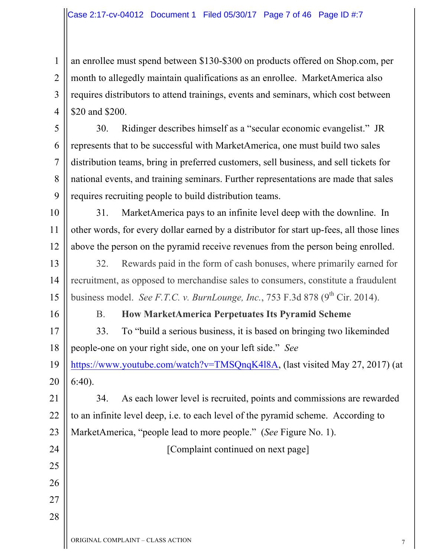1 1 2 2 3 3 4 4 an enrollee must spend between \$130-\$300 on products offered on Shop.com, per month to allegedly maintain qualifications as an enrollee. MarketAmerica also requires distributors to attend trainings, events and seminars, which cost between \$20 and \$200.

5 5 6 6 7 7 8 8 9 9 30. Ridinger describes himself as a "secular economic evangelist." JR represents that to be successful with MarketAmerica, one must build two sales distribution teams, bring in preferred customers, sell business, and sell tickets for national events, and training seminars. Further representations are made that sales requires recruiting people to build distribution teams.

10 10 11 11 12 12 31. MarketAmerica pays to an infinite level deep with the downline. In other words, for every dollar earned by a distributor for start up-fees, all those lines above the person on the pyramid receive revenues from the person being enrolled.

13 13 14 14 15 15 32. Rewards paid in the form of cash bonuses, where primarily earned for recruitment, as opposed to merchandise sales to consumers, constitute a fraudulent business model. *See F.T.C. v. BurnLounge, Inc.*, 753 F.3d 878 ( $9<sup>th</sup>$  Cir. 2014).

16 16

25 25

26 26

27 27

28 28

### B. **How MarketAmerica Perpetuates Its Pyramid Scheme**

17 17 18 18 19 19 20 20 33. To "build a serious business, it is based on bringing two likeminded people-one on your right side, one on your left side." *See* https://www.youtube.com/watch?v=TMSQnqK4l8A, (last visited May 27, 2017) (at 6:40).

21 21 22 22 23 23 24 24 34. As each lower level is recruited, points and commissions are rewarded to an infinite level deep, i.e. to each level of the pyramid scheme. According to MarketAmerica, "people lead to more people." (*See* Figure No. 1).

[Complaint continued on next page]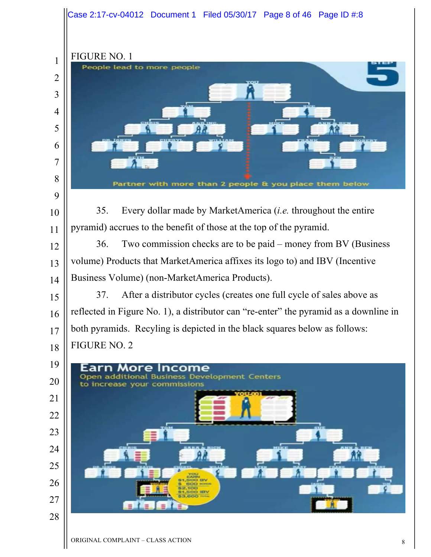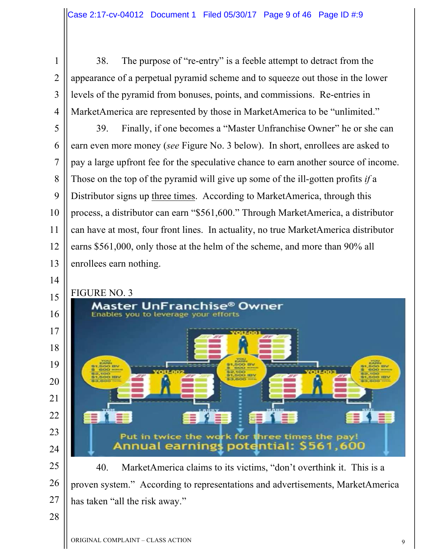3 3

4 4

14 14

38. The purpose of "re-entry" is a feeble attempt to detract from the appearance of a perpetual pyramid scheme and to squeeze out those in the lower levels of the pyramid from bonuses, points, and commissions. Re-entries in MarketAmerica are represented by those in MarketAmerica to be "unlimited."

5 5 6 6 7 7 8 8 9 9 10 10 11 11 12 12 13 13 39. Finally, if one becomes a "Master Unfranchise Owner" he or she can earn even more money (*see* Figure No. 3 below). In short, enrollees are asked to pay a large upfront fee for the speculative chance to earn another source of income. Those on the top of the pyramid will give up some of the ill-gotten profits *if* a Distributor signs up three times. According to MarketAmerica, through this process, a distributor can earn "\$561,600." Through MarketAmerica, a distributor can have at most, four front lines. In actuality, no true MarketAmerica distributor earns \$561,000, only those at the helm of the scheme, and more than 90% all enrollees earn nothing.



25 25 26 26 27 27 40. MarketAmerica claims to its victims, "don't overthink it. This is a proven system." According to representations and advertisements, MarketAmerica has taken "all the risk away."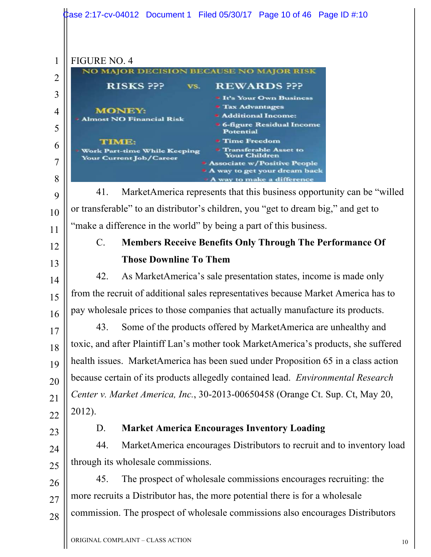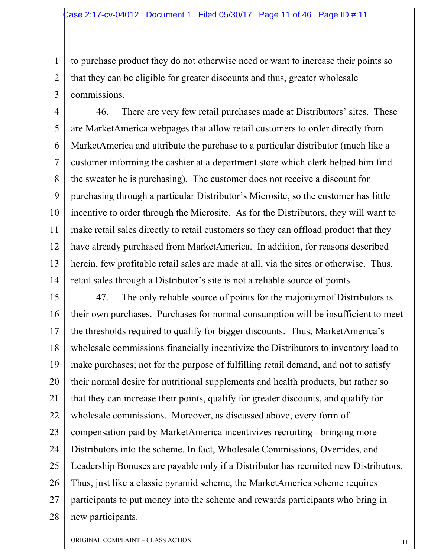1 1 2 2 3 3 to purchase product they do not otherwise need or want to increase their points so that they can be eligible for greater discounts and thus, greater wholesale commissions.

4 4 5 5 6 6 7 7 8 8 9 9 10 10 11 11 12 12 13 13 14 14 46. There are very few retail purchases made at Distributors' sites. These are MarketAmerica webpages that allow retail customers to order directly from MarketAmerica and attribute the purchase to a particular distributor (much like a customer informing the cashier at a department store which clerk helped him find the sweater he is purchasing). The customer does not receive a discount for purchasing through a particular Distributor's Microsite, so the customer has little incentive to order through the Microsite. As for the Distributors, they will want to make retail sales directly to retail customers so they can offload product that they have already purchased from MarketAmerica. In addition, for reasons described herein, few profitable retail sales are made at all, via the sites or otherwise. Thus, retail sales through a Distributor's site is not a reliable source of points.

15 15 16 16 17 17 18 18 19 19 20 20 21 21 22 22 23 23 24 24 25 25 26 26 27 27 28 28 47. The only reliable source of points for the majoritymof Distributors is their own purchases. Purchases for normal consumption will be insufficient to meet the thresholds required to qualify for bigger discounts. Thus, MarketAmerica's wholesale commissions financially incentivize the Distributors to inventory load to make purchases; not for the purpose of fulfilling retail demand, and not to satisfy their normal desire for nutritional supplements and health products, but rather so that they can increase their points, qualify for greater discounts, and qualify for wholesale commissions. Moreover, as discussed above, every form of compensation paid by MarketAmerica incentivizes recruiting - bringing more Distributors into the scheme. In fact, Wholesale Commissions, Overrides, and Leadership Bonuses are payable only if a Distributor has recruited new Distributors. Thus, just like a classic pyramid scheme, the MarketAmerica scheme requires participants to put money into the scheme and rewards participants who bring in new participants.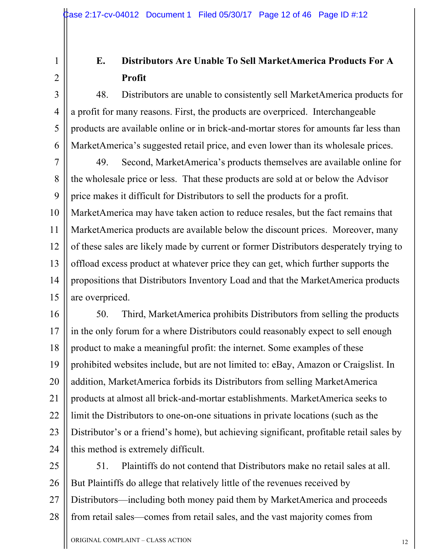3 3

4 4

5 5

6 6

### **E. Distributors Are Unable To Sell MarketAmerica Products For A Profit**

48. Distributors are unable to consistently sell MarketAmerica products for a profit for many reasons. First, the products are overpriced. Interchangeable products are available online or in brick-and-mortar stores for amounts far less than MarketAmerica's suggested retail price, and even lower than its wholesale prices.

7 7 8 8 9 9 10 10 11 11 12 12 13 13 14 14 15 15 49. Second, MarketAmerica's products themselves are available online for the wholesale price or less. That these products are sold at or below the Advisor price makes it difficult for Distributors to sell the products for a profit. MarketAmerica may have taken action to reduce resales, but the fact remains that MarketAmerica products are available below the discount prices. Moreover, many of these sales are likely made by current or former Distributors desperately trying to offload excess product at whatever price they can get, which further supports the propositions that Distributors Inventory Load and that the MarketAmerica products are overpriced.

16 16 17 17 18 18 19 19 20 20 21 21 22 22 23 23 24 24 50. Third, MarketAmerica prohibits Distributors from selling the products in the only forum for a where Distributors could reasonably expect to sell enough product to make a meaningful profit: the internet. Some examples of these prohibited websites include, but are not limited to: eBay, Amazon or Craigslist. In addition, MarketAmerica forbids its Distributors from selling MarketAmerica products at almost all brick-and-mortar establishments. MarketAmerica seeks to limit the Distributors to one-on-one situations in private locations (such as the Distributor's or a friend's home), but achieving significant, profitable retail sales by this method is extremely difficult.

25 25 26 26 27 27 28 28 51. Plaintiffs do not contend that Distributors make no retail sales at all. But Plaintiffs do allege that relatively little of the revenues received by Distributors—including both money paid them by MarketAmerica and proceeds from retail sales—comes from retail sales, and the vast majority comes from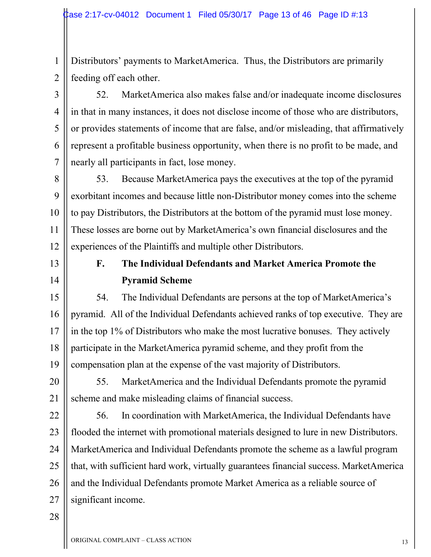1 1 2 2 Distributors' payments to MarketAmerica. Thus, the Distributors are primarily feeding off each other.

52. MarketAmerica also makes false and/or inadequate income disclosures in that in many instances, it does not disclose income of those who are distributors, or provides statements of income that are false, and/or misleading, that affirmatively represent a profitable business opportunity, when there is no profit to be made, and nearly all participants in fact, lose money.

8 8 9 9 10 10 11 11 12 12 53. Because MarketAmerica pays the executives at the top of the pyramid exorbitant incomes and because little non-Distributor money comes into the scheme to pay Distributors, the Distributors at the bottom of the pyramid must lose money. These losses are borne out by MarketAmerica's own financial disclosures and the experiences of the Plaintiffs and multiple other Distributors.

13 13

3 3

4 4

5 5

6 6

7 7

14 14

### **F. The Individual Defendants and Market America Promote the Pyramid Scheme**

15 15 16 16 17 17 18 18 19 19 54. The Individual Defendants are persons at the top of MarketAmerica's pyramid. All of the Individual Defendants achieved ranks of top executive. They are in the top 1% of Distributors who make the most lucrative bonuses. They actively participate in the MarketAmerica pyramid scheme, and they profit from the compensation plan at the expense of the vast majority of Distributors.

20 20 21 21 55. MarketAmerica and the Individual Defendants promote the pyramid scheme and make misleading claims of financial success.

22 22 23 23 24 24 25 25 26 26 27 27 56. In coordination with MarketAmerica, the Individual Defendants have flooded the internet with promotional materials designed to lure in new Distributors. MarketAmerica and Individual Defendants promote the scheme as a lawful program that, with sufficient hard work, virtually guarantees financial success. MarketAmerica and the Individual Defendants promote Market America as a reliable source of significant income.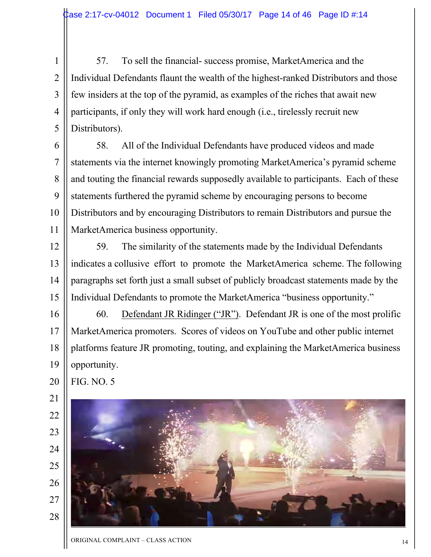1 1 2 2 3 3 4 4 5 5 57. To sell the financial- success promise, MarketAmerica and the Individual Defendants flaunt the wealth of the highest-ranked Distributors and those few insiders at the top of the pyramid, as examples of the riches that await new participants, if only they will work hard enough (i.e., tirelessly recruit new Distributors).

6 6 7 7 8 8 9 9 10 10 11 11 58. All of the Individual Defendants have produced videos and made statements via the internet knowingly promoting MarketAmerica's pyramid scheme and touting the financial rewards supposedly available to participants. Each of these statements furthered the pyramid scheme by encouraging persons to become Distributors and by encouraging Distributors to remain Distributors and pursue the MarketAmerica business opportunity.

12 12 13 13 14 14 15 15 59. The similarity of the statements made by the Individual Defendants indicates a collusive effort to promote the MarketAmerica scheme. The following paragraphs set forth just a small subset of publicly broadcast statements made by the Individual Defendants to promote the MarketAmerica "business opportunity."

16 16 17 17 18 18 19 19 60. Defendant JR Ridinger ("JR"). Defendant JR is one of the most prolific MarketAmerica promoters. Scores of videos on YouTube and other public internet platforms feature JR promoting, touting, and explaining the MarketAmerica business opportunity.

FIG. NO. 5

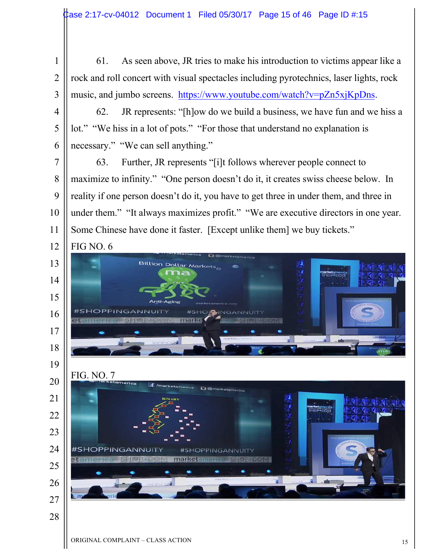- 1 2 3 61. As seen above, JR tries to make his introduction to victims appear like a rock and roll concert with visual spectacles including pyrotechnics, laser lights, rock music, and jumbo screens. https://www.youtube.com/watch?v=pZn5xjKpDns.
	- 62. JR represents: "[h]ow do we build a business, we have fun and we hiss a lot." "We hiss in a lot of pots." "For those that understand no explanation is necessary." "We can sell anything."

7 8 9 10 11 63. Further, JR represents "[i]t follows wherever people connect to maximize to infinity." "One person doesn't do it, it creates swiss cheese below. In reality if one person doesn't do it, you have to get three in under them, and three in under them." "It always maximizes profit." "We are executive directors in one year. Some Chinese have done it faster. [Except unlike them] we buy tickets."



4

5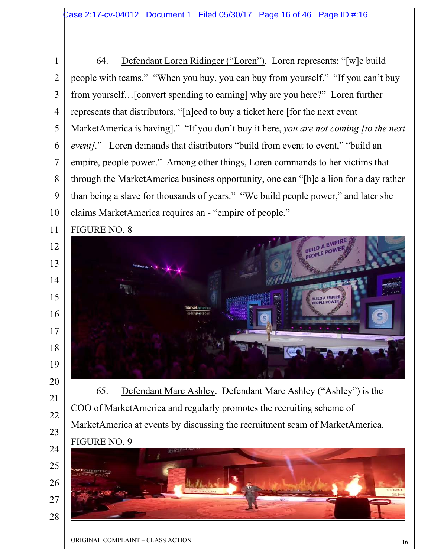1 2 3 4 5 6 7 8 9 10 64. Defendant Loren Ridinger ("Loren"). Loren represents: "[w]e build people with teams." "When you buy, you can buy from yourself." "If you can't buy from yourself…[convert spending to earning] why are you here?" Loren further represents that distributors, "[n]eed to buy a ticket here [for the next event MarketAmerica is having]." "If you don't buy it here, *you are not coming [to the next event].*" Loren demands that distributors "build from event to event," "build an empire, people power." Among other things, Loren commands to her victims that through the MarketAmerica business opportunity, one can "[b]e a lion for a day rather than being a slave for thousands of years." "We build people power," and later she claims MarketAmerica requires an - "empire of people."



13

14

15

16

17

18

19

20

21

22

23



65. Defendant Marc Ashley. Defendant Marc Ashley ("Ashley") is the COO of MarketAmerica and regularly promotes the recruiting scheme of MarketAmerica at events by discussing the recruitment scam of MarketAmerica. FIGURE NO. 9

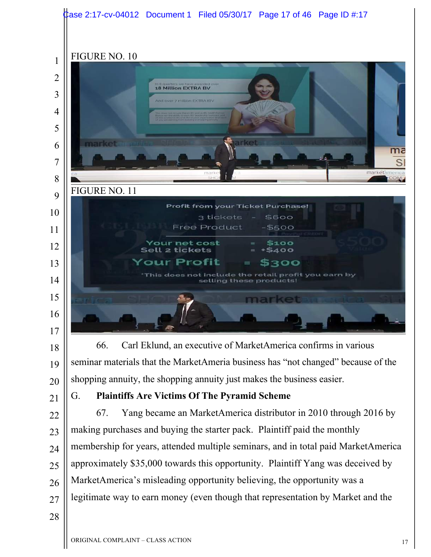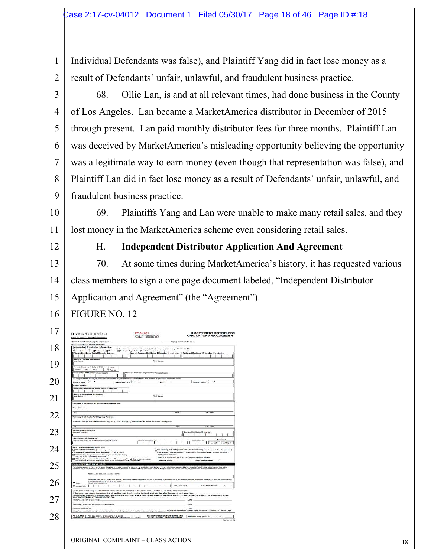1 2 Individual Defendants was false), and Plaintiff Yang did in fact lose money as a result of Defendants' unfair, unlawful, and fraudulent business practice.

3 4 5 6 7 8 9 68. Ollie Lan, is and at all relevant times, had done business in the County of Los Angeles. Lan became a MarketAmerica distributor in December of 2015 through present. Lan paid monthly distributor fees for three months. Plaintiff Lan was deceived by MarketAmerica's misleading opportunity believing the opportunity was a legitimate way to earn money (even though that representation was false), and Plaintiff Lan did in fact lose money as a result of Defendants' unfair, unlawful, and fraudulent business practice.

10 11 69. Plaintiffs Yang and Lan were unable to make many retail sales, and they lost money in the MarketAmerica scheme even considering retail sales.

12

### H. **Independent Distributor Application And Agreement**

13 14 15 70. At some times during MarketAmerica's history, it has requested various class members to sign a one page document labeled, "Independent Distributor Application and Agreement" (the "Agreement").

#### 16 FIGURE NO. 12

| marketamerica<br>Bylti on Praduct, Poseered to Peo                                                                                                                                                                                                                                                                                                                                                                                                                   | PF 241071<br>Phone No. - (536) (535-004)<br>Fax Nu. - (336) (536-004)                                                                                        | <b>INDEPENDENT DISTRIBUTOR</b><br><b>APPLICATION AND AGREEMENT</b>                                                                                                   |
|----------------------------------------------------------------------------------------------------------------------------------------------------------------------------------------------------------------------------------------------------------------------------------------------------------------------------------------------------------------------------------------------------------------------------------------------------------------------|--------------------------------------------------------------------------------------------------------------------------------------------------------------|----------------------------------------------------------------------------------------------------------------------------------------------------------------------|
| Name of Distributor Palmig for Approximation.<br>Phone complete at BLOCK LETTERS<br>Independent Distributor Information<br>Fyou are morted you read include your spouse a information on this form. Married individuals are insuled as a single Distribution Hip<br>Check of Hat says). [[Brokvidual [[] Spouse [[] Success Organization (Proof descreation<br>Б                                                                                                     |                                                                                                                                                              |                                                                                                                                                                      |
| <b>Drivewy Distributor Revial Reserving Numbers</b><br>н<br><b>Barre of Princey Distributor</b>                                                                                                                                                                                                                                                                                                                                                                      | Market America Distributor 85 Mumber (1 cpp to 8540)                                                                                                         | <b>I Profunzat Cambonus ID Numb</b><br>er if sozioanis                                                                                                               |
| aut Name<br>Permany Diserts a sorts Date of Birth<br>Chine                                                                                                                                                                                                                                                                                                                                                                                                           | <b>First Name</b>                                                                                                                                            |                                                                                                                                                                      |
| Cast.<br>Make of<br><sup>2</sup> Perceits<br>nimed Tex ID Numine" (Fazplicable)                                                                                                                                                                                                                                                                                                                                                                                      | Never of Business Organization' (1 scipicable)                                                                                                               |                                                                                                                                                                      |
| To complessiones mediy you must provide seates of your set also of transportation and a fiel of all principals and their DIPse.<br>Harris Phone (<br><b>C-reall Address</b>                                                                                                                                                                                                                                                                                          | ra.<br><b>Basiress Phone II</b>                                                                                                                              | Mobile Phone   (                                                                                                                                                     |
| restory Distributer Kertal Kertany Nume<br>Н<br>н<br>Name of Beauming Distribute<br>Leat Name                                                                                                                                                                                                                                                                                                                                                                        | Flow) Navres                                                                                                                                                 |                                                                                                                                                                      |
| Primary Distributor's Home/Mating Address                                                                                                                                                                                                                                                                                                                                                                                                                            |                                                                                                                                                              |                                                                                                                                                                      |
| Sienel Autoresa<br><b>Take</b>                                                                                                                                                                                                                                                                                                                                                                                                                                       |                                                                                                                                                              | Firene<br><b>Fig. Cores</b>                                                                                                                                          |
| Pranary Distributor's Shipping Address<br>Street Ackwea (Post Office Roele) als any acceptable for shapping if within Market America's USPS detailery areal                                                                                                                                                                                                                                                                                                          |                                                                                                                                                              |                                                                                                                                                                      |
| City                                                                                                                                                                                                                                                                                                                                                                                                                                                                 |                                                                                                                                                              | <b>Crate</b><br>Zip Docky                                                                                                                                            |
| <b>Sponsor Information</b><br>Name of Sportant                                                                                                                                                                                                                                                                                                                                                                                                                       |                                                                                                                                                              | are Christians III Northe                                                                                                                                            |
| Piscoment information<br>Link-to Distributor or Business Groanization Name                                                                                                                                                                                                                                                                                                                                                                                           | Link-to Distributor (D)                                                                                                                                      | <b>Check Cine</b><br><b>BEC EXT. NO</b><br>Clust   Class                                                                                                             |
| Entry Chassification (track one)<br>Stories Representative just fee required<br>[7] Suites Representative Little Received Ind fee required:<br><b>TENSTATO: Single Business Development Center S/S/p</b><br>Source: M.Esportolicky Fee recurrents                                                                                                                                                                                                                    | INSOFODY NEW CHANTISTS.                                                                                                                                      | O Converting Gales Representative to Distributor (current automobiles for required)<br>[Telepitkator, Late Renawal Eurent subscription too recursed; Please send the |
| Diluteitsater, Mexico Unificatebias" Owner (Supervisory Entry). Ourrors autocription<br>fee required 14 SCC BV minerium order must accompany this application).<br>CHECK-WRITING PRIVILEGES                                                                                                                                                                                                                                                                          | Last four digitar                                                                                                                                            | If seeing LPND Creek Card on the Pleaser provide as followed<br><b>Pars Detelmentary</b>                                                                             |
| Detributor agrees (1) to comply ivm the isles of Market America, as may be amended from time to time, including rules elocking payment of applicable reinstatement or other<br>starges. Of to notify Market Attance of any change in address or personal bank accounts, and this summeday this oriente writing privilege upon demand by Market America.<br>Name Shoro in appears on a strip and                                                                      |                                                                                                                                                              |                                                                                                                                                                      |
| that are outstanding for over 30 days.<br>$T$ vas<br>Create Cana August of App                                                                                                                                                                                                                                                                                                                                                                                       | As assistanced by my signature balow, Lauthories Market America, Inc. to charge my creati card for any traufficient function break draft and sention charges |                                                                                                                                                                      |
| 4<br><b>Chappediate</b>                                                                                                                                                                                                                                                                                                                                                                                                                                              |                                                                                                                                                              | <b>Harrison's Charles</b><br>BAD, Datebrailry-N.                                                                                                                     |
| Under panelly of periury, I certify that the Goolal Security Numbertal and/or Federal Tax ID Number shown on this form are correct.<br>i, the buyer, may carreal this transaction at any time prior to michight of the tenth business day after the date of the transaction.<br>I agree to the above indicated information and I AGRHOWLEDGE THAT I HAVE READ, UNDERSTAND AND AGREE TO THE TERMS SET FORTH IN THIS AGREEMENT,<br>AS EVIDENCED BY MY SHIRAFURE BELOW. |                                                                                                                                                              | Outsit                                                                                                                                                               |
| Primary: Applicant is Gignature<br>Secondary Applicant's Elgislate if application                                                                                                                                                                                                                                                                                                                                                                                    |                                                                                                                                                              | <b>Daniel</b>                                                                                                                                                        |
|                                                                                                                                                                                                                                                                                                                                                                                                                                                                      |                                                                                                                                                              |                                                                                                                                                                      |
| desimients dismiture.<br>Af applicant must sign mix signature: of the applicant is a Dompsoy, the Primary Contexter must sign the applicates. ISBCLOSE ENVERED PAYABLE TO MARKET AMERICA IF APPLICABLE.                                                                                                                                                                                                                                                              |                                                                                                                                                              | Cuine:                                                                                                                                                               |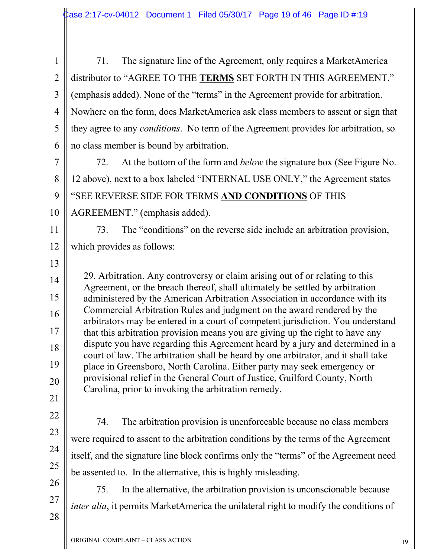1 1 2 2 3 3 4 4 5 5 6 6 71. The signature line of the Agreement, only requires a MarketAmerica distributor to "AGREE TO THE **TERMS** SET FORTH IN THIS AGREEMENT." (emphasis added). None of the "terms" in the Agreement provide for arbitration. Nowhere on the form, does MarketAmerica ask class members to assent or sign that they agree to any *conditions*. No term of the Agreement provides for arbitration, so no class member is bound by arbitration.

7 7 8 8 9 9 10 10 72. At the bottom of the form and *below* the signature box (See Figure No. 12 above), next to a box labeled "INTERNAL USE ONLY," the Agreement states "SEE REVERSE SIDE FOR TERMS **AND CONDITIONS** OF THIS AGREEMENT." (emphasis added).

11 11 12 12 73. The "conditions" on the reverse side include an arbitration provision, which provides as follows:

13 13

14 14

15 15

16 16

17 17

18 18

19 19

20 20

29. Arbitration. Any controversy or claim arising out of or relating to this Agreement, or the breach thereof, shall ultimately be settled by arbitration administered by the American Arbitration Association in accordance with its Commercial Arbitration Rules and judgment on the award rendered by the arbitrators may be entered in a court of competent jurisdiction. You understand that this arbitration provision means you are giving up the right to have any dispute you have regarding this Agreement heard by a jury and determined in a court of law. The arbitration shall be heard by one arbitrator, and it shall take place in Greensboro, North Carolina. Either party may seek emergency or provisional relief in the General Court of Justice, Guilford County, North Carolina, prior to invoking the arbitration remedy.

- 21 21
- 22 22
- 23 23
- 24 24
- 25 25

26 26

27 27

28 28

74. The arbitration provision is unenforceable because no class members were required to assent to the arbitration conditions by the terms of the Agreement itself, and the signature line block confirms only the "terms" of the Agreement need be assented to. In the alternative, this is highly misleading.

75. In the alternative, the arbitration provision is unconscionable because *inter alia*, it permits MarketAmerica the unilateral right to modify the conditions of

ORIGINAL COMPLAINT – CLASS ACTION 19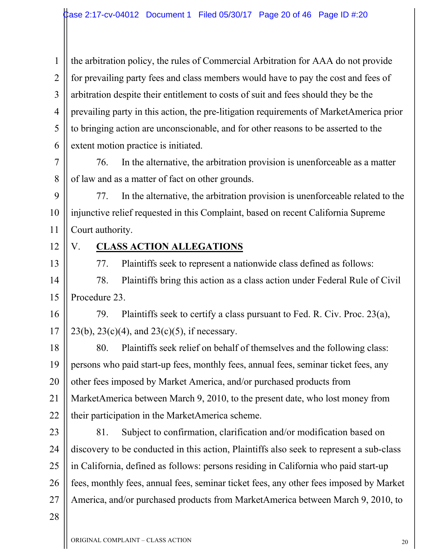1 1 2 2 3 3 4 4 5 5 6 6 the arbitration policy, the rules of Commercial Arbitration for AAA do not provide for prevailing party fees and class members would have to pay the cost and fees of arbitration despite their entitlement to costs of suit and fees should they be the prevailing party in this action, the pre-litigation requirements of MarketAmerica prior to bringing action are unconscionable, and for other reasons to be asserted to the extent motion practice is initiated.

7 7 8 8 76. In the alternative, the arbitration provision is unenforceable as a matter of law and as a matter of fact on other grounds.

9 9 10 10 11 11 77. In the alternative, the arbitration provision is unenforceable related to the injunctive relief requested in this Complaint, based on recent California Supreme Court authority.

12 12

13 13

### V. **CLASS ACTION ALLEGATIONS**

77. Plaintiffs seek to represent a nationwide class defined as follows:

14 14 15 15 78. Plaintiffs bring this action as a class action under Federal Rule of Civil Procedure 23.

16 16 17 17 79. Plaintiffs seek to certify a class pursuant to Fed. R. Civ. Proc. 23(a), 23(b), 23(c)(4), and 23(c)(5), if necessary.

18 18 19 19 20 20 21 21 22 22 80. Plaintiffs seek relief on behalf of themselves and the following class: persons who paid start-up fees, monthly fees, annual fees, seminar ticket fees, any other fees imposed by Market America, and/or purchased products from MarketAmerica between March 9, 2010, to the present date, who lost money from their participation in the MarketAmerica scheme.

23 23 24 24 25 25 26 26 27 27 81. Subject to confirmation, clarification and/or modification based on discovery to be conducted in this action, Plaintiffs also seek to represent a sub-class in California, defined as follows: persons residing in California who paid start-up fees, monthly fees, annual fees, seminar ticket fees, any other fees imposed by Market America, and/or purchased products from MarketAmerica between March 9, 2010, to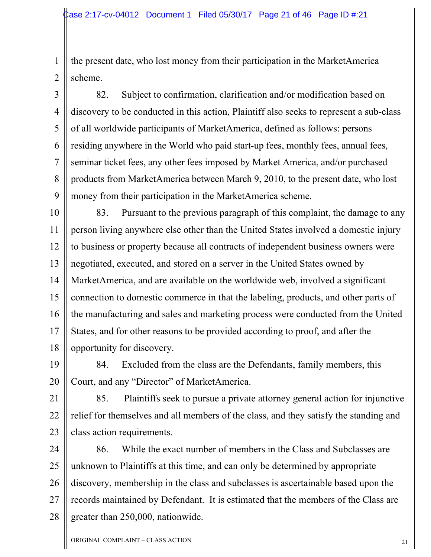1 1 2 2 the present date, who lost money from their participation in the MarketAmerica scheme.

3 3 4 4 5 5 6 6 7 7 8 8 9 9 82. Subject to confirmation, clarification and/or modification based on discovery to be conducted in this action, Plaintiff also seeks to represent a sub-class of all worldwide participants of MarketAmerica, defined as follows: persons residing anywhere in the World who paid start-up fees, monthly fees, annual fees, seminar ticket fees, any other fees imposed by Market America, and/or purchased products from MarketAmerica between March 9, 2010, to the present date, who lost money from their participation in the MarketAmerica scheme.

10 10 11 11 12 12 13 13 14 14 15 15 16 16 17 17 18 18 83. Pursuant to the previous paragraph of this complaint, the damage to any person living anywhere else other than the United States involved a domestic injury to business or property because all contracts of independent business owners were negotiated, executed, and stored on a server in the United States owned by MarketAmerica, and are available on the worldwide web, involved a significant connection to domestic commerce in that the labeling, products, and other parts of the manufacturing and sales and marketing process were conducted from the United States, and for other reasons to be provided according to proof, and after the opportunity for discovery.

19 19 20 20 84. Excluded from the class are the Defendants, family members, this Court, and any "Director" of MarketAmerica.

21 21 22 22 23 23 85. Plaintiffs seek to pursue a private attorney general action for injunctive relief for themselves and all members of the class, and they satisfy the standing and class action requirements.

24 24 25 25 26 26 27 27 28 28 86. While the exact number of members in the Class and Subclasses are unknown to Plaintiffs at this time, and can only be determined by appropriate discovery, membership in the class and subclasses is ascertainable based upon the records maintained by Defendant. It is estimated that the members of the Class are greater than 250,000, nationwide.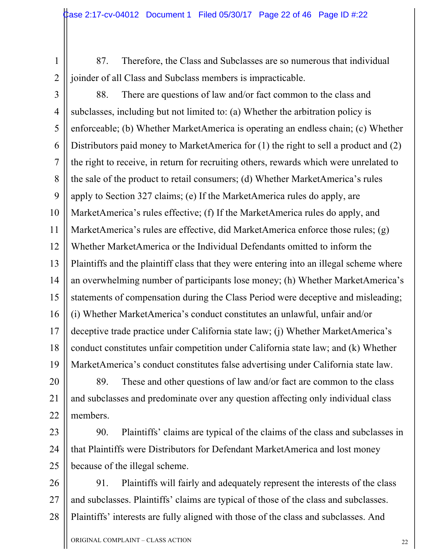87. Therefore, the Class and Subclasses are so numerous that individual joinder of all Class and Subclass members is impracticable.

2 2

3 3 4 4 5 5 6 6 7 7 8 8 9 9 10 10 11 11 12 12 13 13 14 14 15 15 16 16 17 17 18 18 19 19 88. There are questions of law and/or fact common to the class and subclasses, including but not limited to: (a) Whether the arbitration policy is enforceable; (b) Whether MarketAmerica is operating an endless chain; (c) Whether Distributors paid money to MarketAmerica for (1) the right to sell a product and (2) the right to receive, in return for recruiting others, rewards which were unrelated to the sale of the product to retail consumers; (d) Whether MarketAmerica's rules apply to Section 327 claims; (e) If the MarketAmerica rules do apply, are MarketAmerica's rules effective; (f) If the MarketAmerica rules do apply, and MarketAmerica's rules are effective, did MarketAmerica enforce those rules; (g) Whether MarketAmerica or the Individual Defendants omitted to inform the Plaintiffs and the plaintiff class that they were entering into an illegal scheme where an overwhelming number of participants lose money; (h) Whether MarketAmerica's statements of compensation during the Class Period were deceptive and misleading; (i) Whether MarketAmerica's conduct constitutes an unlawful, unfair and/or deceptive trade practice under California state law; (j) Whether MarketAmerica's conduct constitutes unfair competition under California state law; and (k) Whether MarketAmerica's conduct constitutes false advertising under California state law.

20 20 21 21 22 22 89. These and other questions of law and/or fact are common to the class and subclasses and predominate over any question affecting only individual class members.

23 23 24 24 25 25 90. Plaintiffs' claims are typical of the claims of the class and subclasses in that Plaintiffs were Distributors for Defendant MarketAmerica and lost money because of the illegal scheme.

26 26 27 27 28 28 91. Plaintiffs will fairly and adequately represent the interests of the class and subclasses. Plaintiffs' claims are typical of those of the class and subclasses. Plaintiffs' interests are fully aligned with those of the class and subclasses. And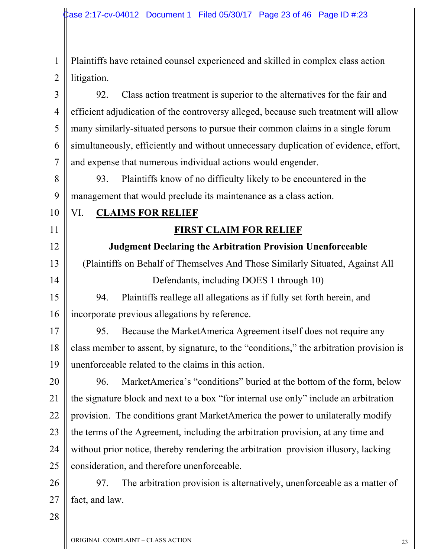1 1 2 2 Plaintiffs have retained counsel experienced and skilled in complex class action litigation.

3 3 4 4 5 5 6 6 7 7 92. Class action treatment is superior to the alternatives for the fair and efficient adjudication of the controversy alleged, because such treatment will allow many similarly-situated persons to pursue their common claims in a single forum simultaneously, efficiently and without unnecessary duplication of evidence, effort, and expense that numerous individual actions would engender.

8 8 9 9 93. Plaintiffs know of no difficulty likely to be encountered in the management that would preclude its maintenance as a class action.

10 10

11 11

12 12

13 13

14 14

# VI. **CLAIMS FOR RELIEF**

### **FIRST CLAIM FOR RELIEF**

**Judgment Declaring the Arbitration Provision Unenforceable**

(Plaintiffs on Behalf of Themselves And Those Similarly Situated, Against All Defendants, including DOES 1 through 10)

15 15 16 16 94. Plaintiffs reallege all allegations as if fully set forth herein, and incorporate previous allegations by reference.

17 17 18 18 19 19 95. Because the MarketAmerica Agreement itself does not require any class member to assent, by signature, to the "conditions," the arbitration provision is unenforceable related to the claims in this action.

20 20 21 21 22 22 23 23 24 24 25 25 96. MarketAmerica's "conditions" buried at the bottom of the form, below the signature block and next to a box "for internal use only" include an arbitration provision. The conditions grant MarketAmerica the power to unilaterally modify the terms of the Agreement, including the arbitration provision, at any time and without prior notice, thereby rendering the arbitration provision illusory, lacking consideration, and therefore unenforceable.

26 26 27 27 97. The arbitration provision is alternatively, unenforceable as a matter of fact, and law.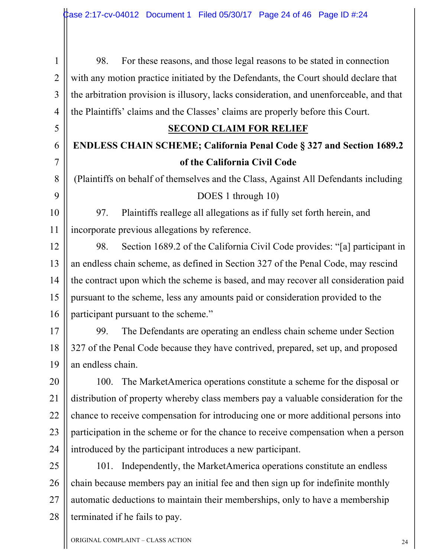1 1 2 2 3 3 4 4 98. For these reasons, and those legal reasons to be stated in connection with any motion practice initiated by the Defendants, the Court should declare that the arbitration provision is illusory, lacks consideration, and unenforceable, and that the Plaintiffs' claims and the Classes' claims are properly before this Court.

#### **SECOND CLAIM FOR RELIEF**

## **ENDLESS CHAIN SCHEME; California Penal Code § 327 and Section 1689.2 of the California Civil Code**

(Plaintiffs on behalf of themselves and the Class, Against All Defendants including DOES 1 through 10)

10 10 11 11 97. Plaintiffs reallege all allegations as if fully set forth herein, and incorporate previous allegations by reference.

12 12 13 13 14 14 15 15 16 16 98. Section 1689.2 of the California Civil Code provides: "[a] participant in an endless chain scheme, as defined in Section 327 of the Penal Code, may rescind the contract upon which the scheme is based, and may recover all consideration paid pursuant to the scheme, less any amounts paid or consideration provided to the participant pursuant to the scheme."

17 17 18 18 19 19 99. The Defendants are operating an endless chain scheme under Section 327 of the Penal Code because they have contrived, prepared, set up, and proposed an endless chain.

20 20 21 21 22 22 23 23 24 24 100. The MarketAmerica operations constitute a scheme for the disposal or distribution of property whereby class members pay a valuable consideration for the chance to receive compensation for introducing one or more additional persons into participation in the scheme or for the chance to receive compensation when a person introduced by the participant introduces a new participant.

25 25 26 26 27 27 28 28 101. Independently, the MarketAmerica operations constitute an endless chain because members pay an initial fee and then sign up for indefinite monthly automatic deductions to maintain their memberships, only to have a membership terminated if he fails to pay.

5 5

6 6

7 7

8 8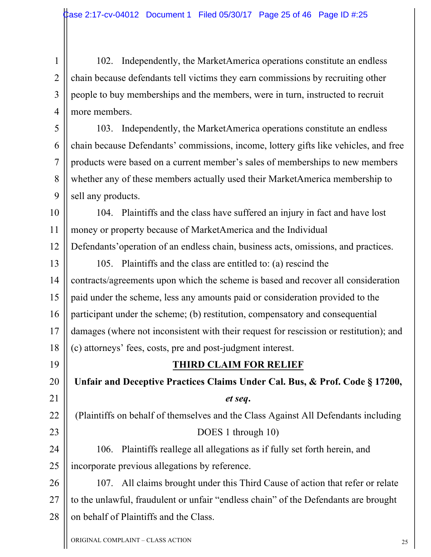1 1 2 2 3 3 4 4 102. Independently, the MarketAmerica operations constitute an endless chain because defendants tell victims they earn commissions by recruiting other people to buy memberships and the members, were in turn, instructed to recruit more members.

5 5 6 6 7 7 8 8 9 9 103. Independently, the MarketAmerica operations constitute an endless chain because Defendants' commissions, income, lottery gifts like vehicles, and free products were based on a current member's sales of memberships to new members whether any of these members actually used their MarketAmerica membership to sell any products.

10 10 11 11 12 12 104. Plaintiffs and the class have suffered an injury in fact and have lost money or property because of MarketAmerica and the Individual Defendants'operation of an endless chain, business acts, omissions, and practices.

13 13 14 14 15 15 16 16 17 17 18 18 105. Plaintiffs and the class are entitled to: (a) rescind the contracts/agreements upon which the scheme is based and recover all consideration paid under the scheme, less any amounts paid or consideration provided to the participant under the scheme; (b) restitution, compensatory and consequential damages (where not inconsistent with their request for rescission or restitution); and (c) attorneys' fees, costs, pre and post-judgment interest.

19 19

**THIRD CLAIM FOR RELIEF**

20 20 21 21 **Unfair and Deceptive Practices Claims Under Cal. Bus, & Prof. Code § 17200,**  *et seq***.**

22 22 23 23 (Plaintiffs on behalf of themselves and the Class Against All Defendants including DOES 1 through 10)

24 24 25 25 106. Plaintiffs reallege all allegations as if fully set forth herein, and incorporate previous allegations by reference.

26 26 27 27 28 28 107. All claims brought under this Third Cause of action that refer or relate to the unlawful, fraudulent or unfair "endless chain" of the Defendants are brought on behalf of Plaintiffs and the Class.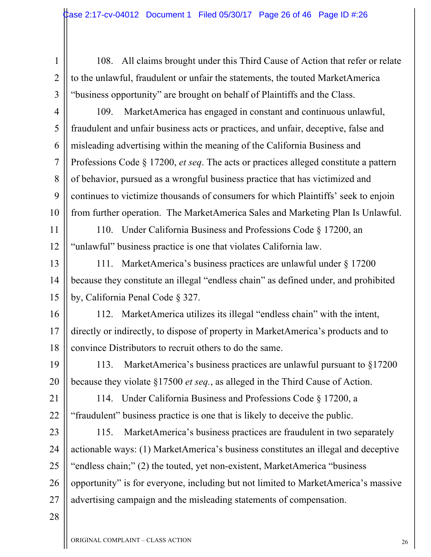1 1 2 2 3 3 108. All claims brought under this Third Cause of Action that refer or relate to the unlawful, fraudulent or unfair the statements, the touted MarketAmerica "business opportunity" are brought on behalf of Plaintiffs and the Class.

4 4 5 5 6 6 7 7 8 8 9 9 10 10 109. MarketAmerica has engaged in constant and continuous unlawful, fraudulent and unfair business acts or practices, and unfair, deceptive, false and misleading advertising within the meaning of the California Business and Professions Code § 17200, *et seq*. The acts or practices alleged constitute a pattern of behavior, pursued as a wrongful business practice that has victimized and continues to victimize thousands of consumers for which Plaintiffs' seek to enjoin from further operation. The MarketAmerica Sales and Marketing Plan Is Unlawful.

11 11 12 12 110. Under California Business and Professions Code § 17200, an "unlawful" business practice is one that violates California law.

13 13 14 14 15 15 111. MarketAmerica's business practices are unlawful under § 17200 because they constitute an illegal "endless chain" as defined under, and prohibited by, California Penal Code § 327.

16 16 17 17 18 18 112. MarketAmerica utilizes its illegal "endless chain" with the intent, directly or indirectly, to dispose of property in MarketAmerica's products and to convince Distributors to recruit others to do the same.

19 19 20 20 113. MarketAmerica's business practices are unlawful pursuant to §17200 because they violate §17500 *et seq.*, as alleged in the Third Cause of Action.

21 21 22 22 114. Under California Business and Professions Code § 17200, a "fraudulent" business practice is one that is likely to deceive the public.

23 23 24 24 25 25 26 26 27 27 115. MarketAmerica's business practices are fraudulent in two separately actionable ways: (1) MarketAmerica's business constitutes an illegal and deceptive "endless chain;" (2) the touted, yet non-existent, MarketAmerica "business opportunity" is for everyone, including but not limited to MarketAmerica's massive advertising campaign and the misleading statements of compensation.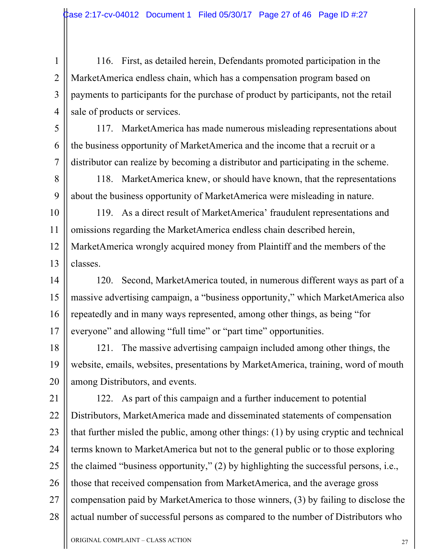2 2

3 3

4 4

116. First, as detailed herein, Defendants promoted participation in the MarketAmerica endless chain, which has a compensation program based on payments to participants for the purchase of product by participants, not the retail sale of products or services.

5 5 6 6 7 7 117. MarketAmerica has made numerous misleading representations about the business opportunity of MarketAmerica and the income that a recruit or a distributor can realize by becoming a distributor and participating in the scheme.

8 8 9 9 118. MarketAmerica knew, or should have known, that the representations about the business opportunity of MarketAmerica were misleading in nature.

10 10 11 11 12 12 13 13 119. As a direct result of MarketAmerica' fraudulent representations and omissions regarding the MarketAmerica endless chain described herein, MarketAmerica wrongly acquired money from Plaintiff and the members of the classes.

14 14 15 15 16 16 17 17 120. Second, MarketAmerica touted, in numerous different ways as part of a massive advertising campaign, a "business opportunity," which MarketAmerica also repeatedly and in many ways represented, among other things, as being "for everyone" and allowing "full time" or "part time" opportunities.

18 18 19 19 20 20 121. The massive advertising campaign included among other things, the website, emails, websites, presentations by MarketAmerica, training, word of mouth among Distributors, and events.

21 21 22 22 23 23 24 24 25 25 26 26 27 27 28 28 122. As part of this campaign and a further inducement to potential Distributors, MarketAmerica made and disseminated statements of compensation that further misled the public, among other things: (1) by using cryptic and technical terms known to MarketAmerica but not to the general public or to those exploring the claimed "business opportunity," (2) by highlighting the successful persons, i.e., those that received compensation from MarketAmerica, and the average gross compensation paid by MarketAmerica to those winners, (3) by failing to disclose the actual number of successful persons as compared to the number of Distributors who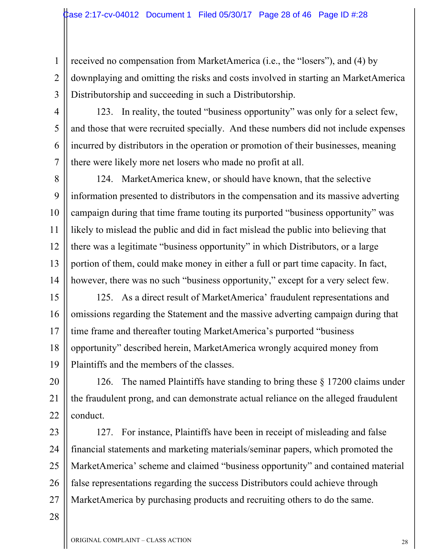1 1 2 2 3 3 received no compensation from MarketAmerica (i.e., the "losers"), and (4) by downplaying and omitting the risks and costs involved in starting an MarketAmerica Distributorship and succeeding in such a Distributorship.

4 4

5 5

6 6

7 7

123. In reality, the touted "business opportunity" was only for a select few, and those that were recruited specially. And these numbers did not include expenses incurred by distributors in the operation or promotion of their businesses, meaning there were likely more net losers who made no profit at all.

8 8 9 9 10 10 11 11 12 12 13 13 14 14 124. MarketAmerica knew, or should have known, that the selective information presented to distributors in the compensation and its massive adverting campaign during that time frame touting its purported "business opportunity" was likely to mislead the public and did in fact mislead the public into believing that there was a legitimate "business opportunity" in which Distributors, or a large portion of them, could make money in either a full or part time capacity. In fact, however, there was no such "business opportunity," except for a very select few.

15 15 16 16 17 17 18 18 19 19 125. As a direct result of MarketAmerica' fraudulent representations and omissions regarding the Statement and the massive adverting campaign during that time frame and thereafter touting MarketAmerica's purported "business opportunity" described herein, MarketAmerica wrongly acquired money from Plaintiffs and the members of the classes.

20 20 21 21 22 22 126. The named Plaintiffs have standing to bring these § 17200 claims under the fraudulent prong, and can demonstrate actual reliance on the alleged fraudulent conduct.

23 23 24 24 25 25 26 26 27 27 127. For instance, Plaintiffs have been in receipt of misleading and false financial statements and marketing materials/seminar papers, which promoted the MarketAmerica' scheme and claimed "business opportunity" and contained material false representations regarding the success Distributors could achieve through MarketAmerica by purchasing products and recruiting others to do the same.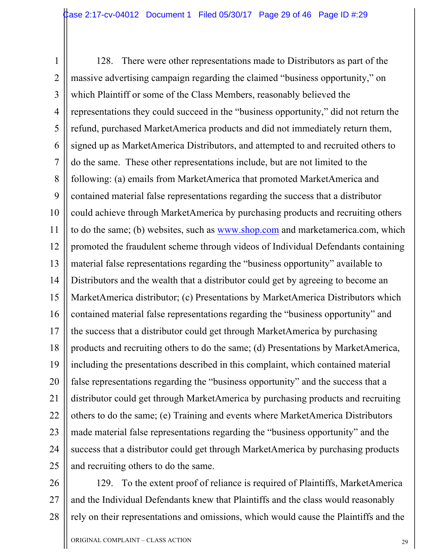1 1 2 2 3 3 4 4 5 5 6 6 7 7 8 8 9 9 10 10 11 11 12 12 13 13 14 14 15 15 16 16 17 17 18 18 19 19 20 20 21 21 22 22 23 23 24 24 25 25 128. There were other representations made to Distributors as part of the massive advertising campaign regarding the claimed "business opportunity," on which Plaintiff or some of the Class Members, reasonably believed the representations they could succeed in the "business opportunity," did not return the refund, purchased MarketAmerica products and did not immediately return them, signed up as MarketAmerica Distributors, and attempted to and recruited others to do the same. These other representations include, but are not limited to the following: (a) emails from MarketAmerica that promoted MarketAmerica and contained material false representations regarding the success that a distributor could achieve through MarketAmerica by purchasing products and recruiting others to do the same; (b) websites, such as www.shop.com and marketamerica.com, which promoted the fraudulent scheme through videos of Individual Defendants containing material false representations regarding the "business opportunity" available to Distributors and the wealth that a distributor could get by agreeing to become an MarketAmerica distributor; (c) Presentations by MarketAmerica Distributors which contained material false representations regarding the "business opportunity" and the success that a distributor could get through MarketAmerica by purchasing products and recruiting others to do the same; (d) Presentations by MarketAmerica, including the presentations described in this complaint, which contained material false representations regarding the "business opportunity" and the success that a distributor could get through MarketAmerica by purchasing products and recruiting others to do the same; (e) Training and events where MarketAmerica Distributors made material false representations regarding the "business opportunity" and the success that a distributor could get through MarketAmerica by purchasing products and recruiting others to do the same.

26 26 27 27 28 28 129. To the extent proof of reliance is required of Plaintiffs, MarketAmerica and the Individual Defendants knew that Plaintiffs and the class would reasonably rely on their representations and omissions, which would cause the Plaintiffs and the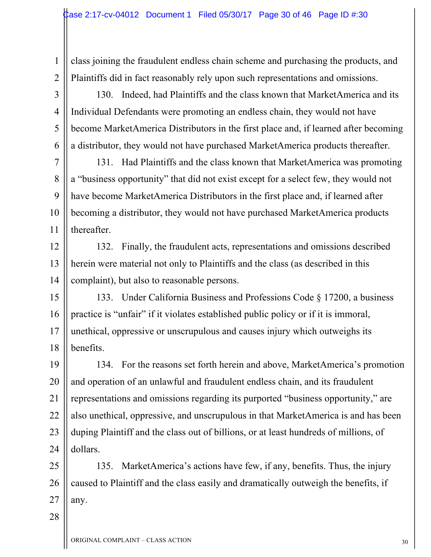class joining the fraudulent endless chain scheme and purchasing the products, and Plaintiffs did in fact reasonably rely upon such representations and omissions.

130. Indeed, had Plaintiffs and the class known that MarketAmerica and its Individual Defendants were promoting an endless chain, they would not have become MarketAmerica Distributors in the first place and, if learned after becoming a distributor, they would not have purchased MarketAmerica products thereafter.

7 7 8 8 9 9 10 10 11 11 131. Had Plaintiffs and the class known that MarketAmerica was promoting a "business opportunity" that did not exist except for a select few, they would not have become MarketAmerica Distributors in the first place and, if learned after becoming a distributor, they would not have purchased MarketAmerica products thereafter.

12 12 13 13 14 14 132. Finally, the fraudulent acts, representations and omissions described herein were material not only to Plaintiffs and the class (as described in this complaint), but also to reasonable persons.

15 15 16 16 17 17 18 18 133. Under California Business and Professions Code § 17200, a business practice is "unfair" if it violates established public policy or if it is immoral, unethical, oppressive or unscrupulous and causes injury which outweighs its benefits.

19 19 20 20 21 21 22 22 23 23 24 24 134. For the reasons set forth herein and above, MarketAmerica's promotion and operation of an unlawful and fraudulent endless chain, and its fraudulent representations and omissions regarding its purported "business opportunity," are also unethical, oppressive, and unscrupulous in that MarketAmerica is and has been duping Plaintiff and the class out of billions, or at least hundreds of millions, of dollars.

25 25 26 26 27 27 135. MarketAmerica's actions have few, if any, benefits. Thus, the injury caused to Plaintiff and the class easily and dramatically outweigh the benefits, if any.

28 28

1 1

2 2

3 3

4 4

5 5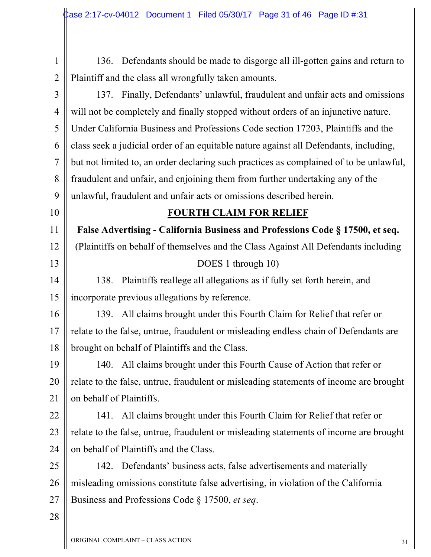1 1 2 2 3 3 4 4 5 5 6 6 7 7 8 8 9 9 10 10 11 11 12 12 13 13 14 14 15 15 16 16 17 17 18 18 19 19 20 20 21 21 22 22 23 23 24 24 25 25 26 26 27 27 28 28 136. Defendants should be made to disgorge all ill-gotten gains and return to Plaintiff and the class all wrongfully taken amounts. 137. Finally, Defendants' unlawful, fraudulent and unfair acts and omissions will not be completely and finally stopped without orders of an injunctive nature. Under California Business and Professions Code section 17203, Plaintiffs and the class seek a judicial order of an equitable nature against all Defendants, including, but not limited to, an order declaring such practices as complained of to be unlawful, fraudulent and unfair, and enjoining them from further undertaking any of the unlawful, fraudulent and unfair acts or omissions described herein. **FOURTH CLAIM FOR RELIEF False Advertising - California Business and Professions Code § 17500, et seq.** (Plaintiffs on behalf of themselves and the Class Against All Defendants including DOES 1 through 10) 138. Plaintiffs reallege all allegations as if fully set forth herein, and incorporate previous allegations by reference. 139. All claims brought under this Fourth Claim for Relief that refer or relate to the false, untrue, fraudulent or misleading endless chain of Defendants are brought on behalf of Plaintiffs and the Class. 140. All claims brought under this Fourth Cause of Action that refer or relate to the false, untrue, fraudulent or misleading statements of income are brought on behalf of Plaintiffs. 141. All claims brought under this Fourth Claim for Relief that refer or relate to the false, untrue, fraudulent or misleading statements of income are brought on behalf of Plaintiffs and the Class. 142. Defendants' business acts, false advertisements and materially misleading omissions constitute false advertising, in violation of the California Business and Professions Code § 17500, *et seq*.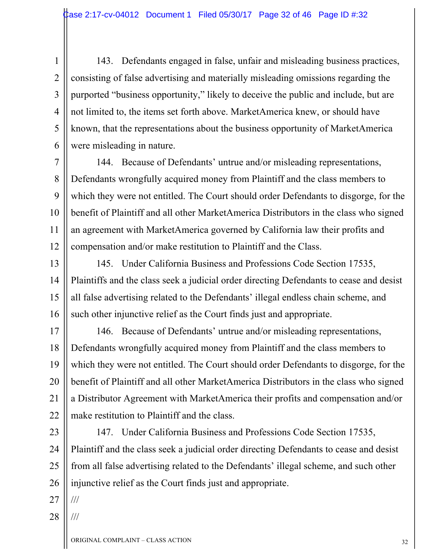143. Defendants engaged in false, unfair and misleading business practices, consisting of false advertising and materially misleading omissions regarding the purported "business opportunity," likely to deceive the public and include, but are not limited to, the items set forth above. MarketAmerica knew, or should have known, that the representations about the business opportunity of MarketAmerica were misleading in nature.

7 7 8 8 9 9 10 10 11 11 12 12 144. Because of Defendants' untrue and/or misleading representations, Defendants wrongfully acquired money from Plaintiff and the class members to which they were not entitled. The Court should order Defendants to disgorge, for the benefit of Plaintiff and all other MarketAmerica Distributors in the class who signed an agreement with MarketAmerica governed by California law their profits and compensation and/or make restitution to Plaintiff and the Class.

13 13 14 14 15 15 16 16 145. Under California Business and Professions Code Section 17535, Plaintiffs and the class seek a judicial order directing Defendants to cease and desist all false advertising related to the Defendants' illegal endless chain scheme, and such other injunctive relief as the Court finds just and appropriate.

17 17 18 18 19 19 20 20 21 21 22 22 146. Because of Defendants' untrue and/or misleading representations, Defendants wrongfully acquired money from Plaintiff and the class members to which they were not entitled. The Court should order Defendants to disgorge, for the benefit of Plaintiff and all other MarketAmerica Distributors in the class who signed a Distributor Agreement with MarketAmerica their profits and compensation and/or make restitution to Plaintiff and the class.

23 23 24 24 25 25 26 26 147. Under California Business and Professions Code Section 17535, Plaintiff and the class seek a judicial order directing Defendants to cease and desist from all false advertising related to the Defendants' illegal scheme, and such other injunctive relief as the Court finds just and appropriate.

27 27 ///

1 1

2 2

3 3

4 4

5 5

6 6

28 28 ///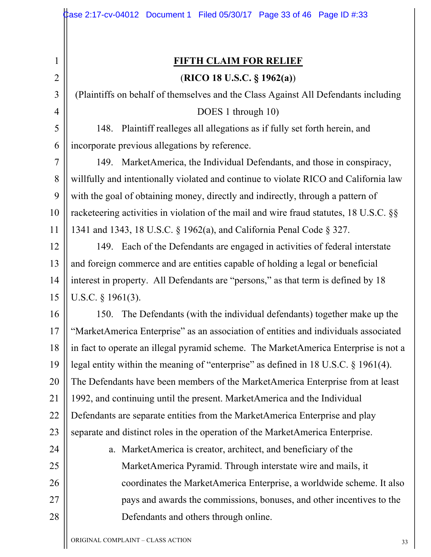2 2

3 3

4 4

24 24

25 25

26 26

27 27

28 28

**FIFTH CLAIM FOR RELIEF** (**RICO 18 U.S.C. § 1962(a)**)

(Plaintiffs on behalf of themselves and the Class Against All Defendants including DOES 1 through 10)

5 5 6 6 148. Plaintiff realleges all allegations as if fully set forth herein, and incorporate previous allegations by reference.

7 7 8 8 9 9 10 10 11 11 149. MarketAmerica, the Individual Defendants, and those in conspiracy, willfully and intentionally violated and continue to violate RICO and California law with the goal of obtaining money, directly and indirectly, through a pattern of racketeering activities in violation of the mail and wire fraud statutes, 18 U.S.C. §§ 1341 and 1343, 18 U.S.C. § 1962(a), and California Penal Code § 327.

12 12 13 13 14 14 15 15 149. Each of the Defendants are engaged in activities of federal interstate and foreign commerce and are entities capable of holding a legal or beneficial interest in property. All Defendants are "persons," as that term is defined by 18 U.S.C. § 1961(3).

16 16 17 17 18 18 19 19 20 20 21 21 22 22 23 23 150. The Defendants (with the individual defendants) together make up the "MarketAmerica Enterprise" as an association of entities and individuals associated in fact to operate an illegal pyramid scheme. The MarketAmerica Enterprise is not a legal entity within the meaning of "enterprise" as defined in 18 U.S.C. § 1961(4). The Defendants have been members of the MarketAmerica Enterprise from at least 1992, and continuing until the present. MarketAmerica and the Individual Defendants are separate entities from the MarketAmerica Enterprise and play separate and distinct roles in the operation of the MarketAmerica Enterprise.

a. MarketAmerica is creator, architect, and beneficiary of the MarketAmerica Pyramid. Through interstate wire and mails, it coordinates the MarketAmerica Enterprise, a worldwide scheme. It also pays and awards the commissions, bonuses, and other incentives to the Defendants and others through online.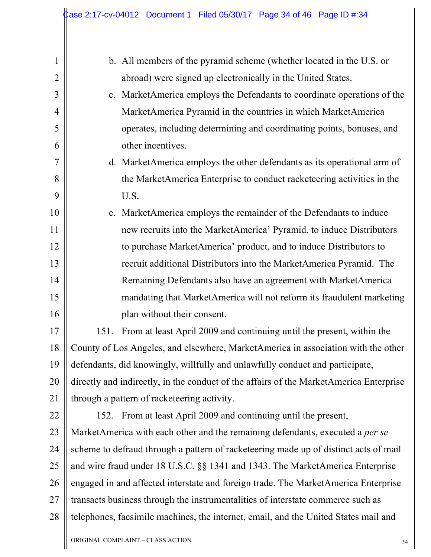| $\mathbf{1}$   | b. All members of the pyramid scheme (whether located in the U.S. or                   |  |
|----------------|----------------------------------------------------------------------------------------|--|
| $\overline{2}$ | abroad) were signed up electronically in the United States.                            |  |
| 3              | c. MarketAmerica employs the Defendants to coordinate operations of the                |  |
| $\overline{4}$ | MarketAmerica Pyramid in the countries in which MarketAmerica                          |  |
| 5              | operates, including determining and coordinating points, bonuses, and                  |  |
| 6              | other incentives.                                                                      |  |
| $\overline{7}$ | d. MarketAmerica employs the other defendants as its operational arm of                |  |
| 8              | the MarketAmerica Enterprise to conduct racketeering activities in the                 |  |
| 9              | U.S.                                                                                   |  |
| 10             | e. MarketAmerica employs the remainder of the Defendants to induce                     |  |
| 11             | new recruits into the MarketAmerica' Pyramid, to induce Distributors                   |  |
| 12             | to purchase MarketAmerica' product, and to induce Distributors to                      |  |
| 13             | recruit additional Distributors into the MarketAmerica Pyramid. The                    |  |
| 14             | Remaining Defendants also have an agreement with MarketAmerica                         |  |
| 15             | mandating that MarketAmerica will not reform its fraudulent marketing                  |  |
| 16             | plan without their consent.                                                            |  |
| 17             | From at least April 2009 and continuing until the present, within the<br>151.          |  |
| 18             | County of Los Angeles, and elsewhere, MarketAmerica in association with the other      |  |
| 19             | defendants, did knowingly, willfully and unlawfully conduct and participate,           |  |
| 20             | directly and indirectly, in the conduct of the affairs of the MarketAmerica Enterprise |  |
| 21             | through a pattern of racketeering activity.                                            |  |
| 22             | 152. From at least April 2009 and continuing until the present,                        |  |
| 23             | MarketAmerica with each other and the remaining defendants, executed a per se          |  |
| 24             | scheme to defraud through a pattern of racketeering made up of distinct acts of mail   |  |
| 25             | and wire fraud under 18 U.S.C. §§ 1341 and 1343. The MarketAmerica Enterprise          |  |
| 26             | engaged in and affected interstate and foreign trade. The MarketAmerica Enterprise     |  |
| 27             | transacts business through the instrumentalities of interstate commerce such as        |  |
| 28             | telephones, facsimile machines, the internet, email, and the United States mail and    |  |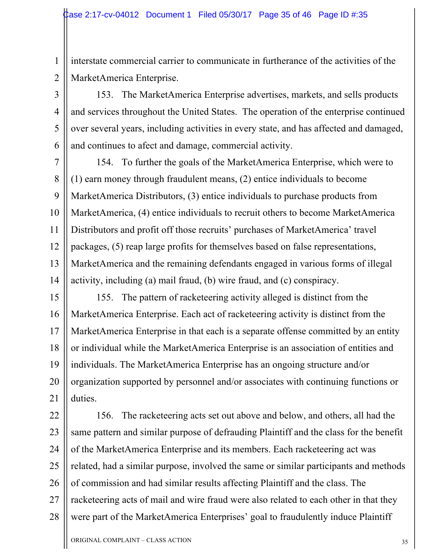1 1 2 2 interstate commercial carrier to communicate in furtherance of the activities of the MarketAmerica Enterprise.

3 3 4 4 5 5 6 6 153. The MarketAmerica Enterprise advertises, markets, and sells products and services throughout the United States. The operation of the enterprise continued over several years, including activities in every state, and has affected and damaged, and continues to afect and damage, commercial activity.

7 7 8 8 9 9 10 10 11 11 12 12 13 13 14 14 154. To further the goals of the MarketAmerica Enterprise, which were to (1) earn money through fraudulent means, (2) entice individuals to become MarketAmerica Distributors, (3) entice individuals to purchase products from MarketAmerica, (4) entice individuals to recruit others to become MarketAmerica Distributors and profit off those recruits' purchases of MarketAmerica' travel packages, (5) reap large profits for themselves based on false representations, MarketAmerica and the remaining defendants engaged in various forms of illegal activity, including (a) mail fraud, (b) wire fraud, and (c) conspiracy.

15 15 16 16 17 17 18 18 19 19 20 20 21 21 155. The pattern of racketeering activity alleged is distinct from the MarketAmerica Enterprise. Each act of racketeering activity is distinct from the MarketAmerica Enterprise in that each is a separate offense committed by an entity or individual while the MarketAmerica Enterprise is an association of entities and individuals. The MarketAmerica Enterprise has an ongoing structure and/or organization supported by personnel and/or associates with continuing functions or duties.

22 22 23 23 24 24 25 25 26 26 27 27 28 28 156. The racketeering acts set out above and below, and others, all had the same pattern and similar purpose of defrauding Plaintiff and the class for the benefit of the MarketAmerica Enterprise and its members. Each racketeering act was related, had a similar purpose, involved the same or similar participants and methods of commission and had similar results affecting Plaintiff and the class. The racketeering acts of mail and wire fraud were also related to each other in that they were part of the MarketAmerica Enterprises' goal to fraudulently induce Plaintiff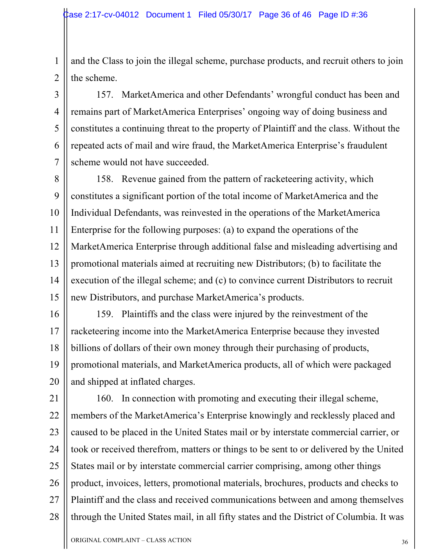1 1 2 2 and the Class to join the illegal scheme, purchase products, and recruit others to join the scheme.

157. MarketAmerica and other Defendants' wrongful conduct has been and remains part of MarketAmerica Enterprises' ongoing way of doing business and constitutes a continuing threat to the property of Plaintiff and the class. Without the repeated acts of mail and wire fraud, the MarketAmerica Enterprise's fraudulent scheme would not have succeeded.

8 8 9 9 10 10 11 11 12 12 13 13 14 14 15 15 158. Revenue gained from the pattern of racketeering activity, which constitutes a significant portion of the total income of MarketAmerica and the Individual Defendants, was reinvested in the operations of the MarketAmerica Enterprise for the following purposes: (a) to expand the operations of the MarketAmerica Enterprise through additional false and misleading advertising and promotional materials aimed at recruiting new Distributors; (b) to facilitate the execution of the illegal scheme; and (c) to convince current Distributors to recruit new Distributors, and purchase MarketAmerica's products.

16 16 17 17 18 18 19 19 20 20 159. Plaintiffs and the class were injured by the reinvestment of the racketeering income into the MarketAmerica Enterprise because they invested billions of dollars of their own money through their purchasing of products, promotional materials, and MarketAmerica products, all of which were packaged and shipped at inflated charges.

21 21 22 22 23 23 24 24 25 25 26 26 27 27 28 28 160. In connection with promoting and executing their illegal scheme, members of the MarketAmerica's Enterprise knowingly and recklessly placed and caused to be placed in the United States mail or by interstate commercial carrier, or took or received therefrom, matters or things to be sent to or delivered by the United States mail or by interstate commercial carrier comprising, among other things product, invoices, letters, promotional materials, brochures, products and checks to Plaintiff and the class and received communications between and among themselves through the United States mail, in all fifty states and the District of Columbia. It was

3 3

4 4

5 5

6 6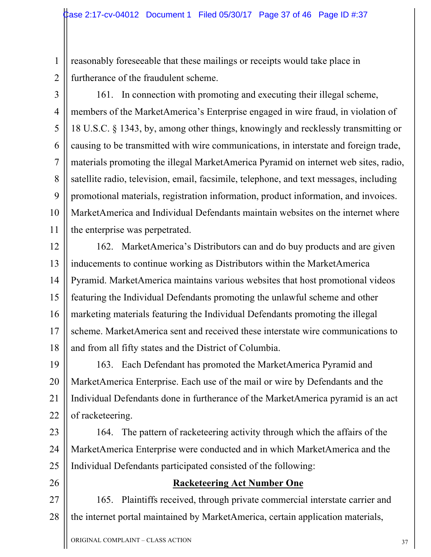1 1 2 2 reasonably foreseeable that these mailings or receipts would take place in furtherance of the fraudulent scheme.

3 3

4 4

5 5

6 6

7 7

8 8

9 9

10 10

11 11

161. In connection with promoting and executing their illegal scheme, members of the MarketAmerica's Enterprise engaged in wire fraud, in violation of 18 U.S.C. § 1343, by, among other things, knowingly and recklessly transmitting or causing to be transmitted with wire communications, in interstate and foreign trade, materials promoting the illegal MarketAmerica Pyramid on internet web sites, radio, satellite radio, television, email, facsimile, telephone, and text messages, including promotional materials, registration information, product information, and invoices. MarketAmerica and Individual Defendants maintain websites on the internet where the enterprise was perpetrated.

12 12 13 13 14 14 15 15 16 16 17 17 18 18 162. MarketAmerica's Distributors can and do buy products and are given inducements to continue working as Distributors within the MarketAmerica Pyramid. MarketAmerica maintains various websites that host promotional videos featuring the Individual Defendants promoting the unlawful scheme and other marketing materials featuring the Individual Defendants promoting the illegal scheme. MarketAmerica sent and received these interstate wire communications to and from all fifty states and the District of Columbia.

19 19 20 20 21 21 22 22 163. Each Defendant has promoted the MarketAmerica Pyramid and MarketAmerica Enterprise. Each use of the mail or wire by Defendants and the Individual Defendants done in furtherance of the MarketAmerica pyramid is an act of racketeering.

23 23 24 24 25 25 164. The pattern of racketeering activity through which the affairs of the MarketAmerica Enterprise were conducted and in which MarketAmerica and the Individual Defendants participated consisted of the following:

26 26

### **Racketeering Act Number One**

27 27 28 28 165. Plaintiffs received, through private commercial interstate carrier and the internet portal maintained by MarketAmerica, certain application materials,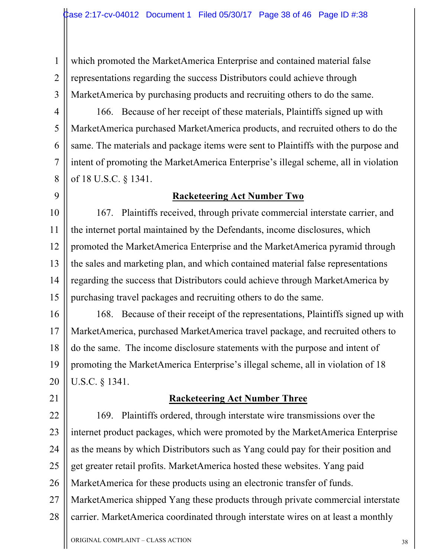1 1 2 2 3 3 which promoted the MarketAmerica Enterprise and contained material false representations regarding the success Distributors could achieve through MarketAmerica by purchasing products and recruiting others to do the same.

4 4 5 5 6 6 7 7 8 8 166. Because of her receipt of these materials, Plaintiffs signed up with MarketAmerica purchased MarketAmerica products, and recruited others to do the same. The materials and package items were sent to Plaintiffs with the purpose and intent of promoting the MarketAmerica Enterprise's illegal scheme, all in violation of 18 U.S.C. § 1341.

### 9 9

### **Racketeering Act Number Two**

10 10 11 11 12 12 13 13 14 14 15 15 167. Plaintiffs received, through private commercial interstate carrier, and the internet portal maintained by the Defendants, income disclosures, which promoted the MarketAmerica Enterprise and the MarketAmerica pyramid through the sales and marketing plan, and which contained material false representations regarding the success that Distributors could achieve through MarketAmerica by purchasing travel packages and recruiting others to do the same.

16 16 17 17 18 18 19 19 20 20 168. Because of their receipt of the representations, Plaintiffs signed up with MarketAmerica, purchased MarketAmerica travel package, and recruited others to do the same. The income disclosure statements with the purpose and intent of promoting the MarketAmerica Enterprise's illegal scheme, all in violation of 18 U.S.C. § 1341.

21 21

#### **Racketeering Act Number Three**

22 22 23 23 24 24 25 25 26 26 27 27 28 28 169. Plaintiffs ordered, through interstate wire transmissions over the internet product packages, which were promoted by the MarketAmerica Enterprise as the means by which Distributors such as Yang could pay for their position and get greater retail profits. MarketAmerica hosted these websites. Yang paid MarketAmerica for these products using an electronic transfer of funds. MarketAmerica shipped Yang these products through private commercial interstate carrier. MarketAmerica coordinated through interstate wires on at least a monthly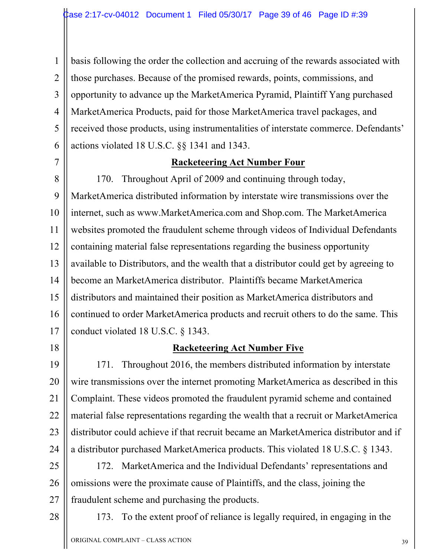1 1 2 2 3 3 4 4 5 5 6 6 basis following the order the collection and accruing of the rewards associated with those purchases. Because of the promised rewards, points, commissions, and opportunity to advance up the MarketAmerica Pyramid, Plaintiff Yang purchased MarketAmerica Products, paid for those MarketAmerica travel packages, and received those products, using instrumentalities of interstate commerce. Defendants' actions violated 18 U.S.C. §§ 1341 and 1343.

7 7

### **Racketeering Act Number Four**

8 8 9 9 10 10 11 11 12 12 13 13 14 14 15 15 16 16 17 17 170. Throughout April of 2009 and continuing through today, MarketAmerica distributed information by interstate wire transmissions over the internet, such as www.MarketAmerica.com and Shop.com. The MarketAmerica websites promoted the fraudulent scheme through videos of Individual Defendants containing material false representations regarding the business opportunity available to Distributors, and the wealth that a distributor could get by agreeing to become an MarketAmerica distributor. Plaintiffs became MarketAmerica distributors and maintained their position as MarketAmerica distributors and continued to order MarketAmerica products and recruit others to do the same. This conduct violated 18 U.S.C. § 1343.

18 18

#### **Racketeering Act Number Five**

19 19 20 20 21 21 22 22 23 23 24 24 171. Throughout 2016, the members distributed information by interstate wire transmissions over the internet promoting MarketAmerica as described in this Complaint. These videos promoted the fraudulent pyramid scheme and contained material false representations regarding the wealth that a recruit or MarketAmerica distributor could achieve if that recruit became an MarketAmerica distributor and if a distributor purchased MarketAmerica products. This violated 18 U.S.C. § 1343.

25 25 26 26 27 27 172. MarketAmerica and the Individual Defendants' representations and omissions were the proximate cause of Plaintiffs, and the class, joining the fraudulent scheme and purchasing the products.

28 28

173. To the extent proof of reliance is legally required, in engaging in the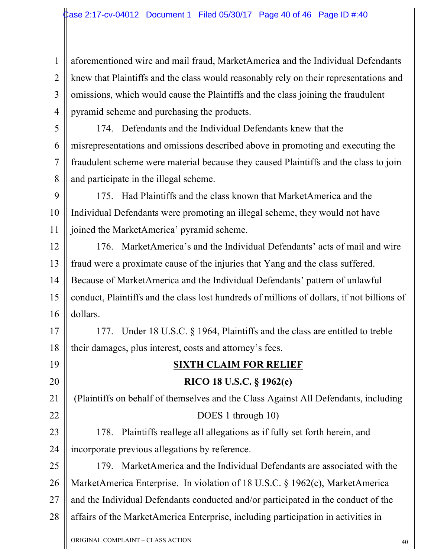1 1 2 2 3 3 4 4 aforementioned wire and mail fraud, MarketAmerica and the Individual Defendants knew that Plaintiffs and the class would reasonably rely on their representations and omissions, which would cause the Plaintiffs and the class joining the fraudulent pyramid scheme and purchasing the products.

5 5 6 6 7 7 8 8 174. Defendants and the Individual Defendants knew that the misrepresentations and omissions described above in promoting and executing the fraudulent scheme were material because they caused Plaintiffs and the class to join and participate in the illegal scheme.

9 9 10 10 11 11 175. Had Plaintiffs and the class known that MarketAmerica and the Individual Defendants were promoting an illegal scheme, they would not have joined the MarketAmerica' pyramid scheme.

12 12 13 13 14 14 15 15 16 16 176. MarketAmerica's and the Individual Defendants' acts of mail and wire fraud were a proximate cause of the injuries that Yang and the class suffered. Because of MarketAmerica and the Individual Defendants' pattern of unlawful conduct, Plaintiffs and the class lost hundreds of millions of dollars, if not billions of dollars.

17 17 18 18 177. Under 18 U.S.C. § 1964, Plaintiffs and the class are entitled to treble their damages, plus interest, costs and attorney's fees.

### **SIXTH CLAIM FOR RELIEF**

**RICO 18 U.S.C. § 1962(c)** (Plaintiffs on behalf of themselves and the Class Against All Defendants, including DOES 1 through 10)

178. Plaintiffs reallege all allegations as if fully set forth herein, and incorporate previous allegations by reference.

26 26 27 27 28 28 179. MarketAmerica and the Individual Defendants are associated with the MarketAmerica Enterprise. In violation of 18 U.S.C. § 1962(c), MarketAmerica and the Individual Defendants conducted and/or participated in the conduct of the affairs of the MarketAmerica Enterprise, including participation in activities in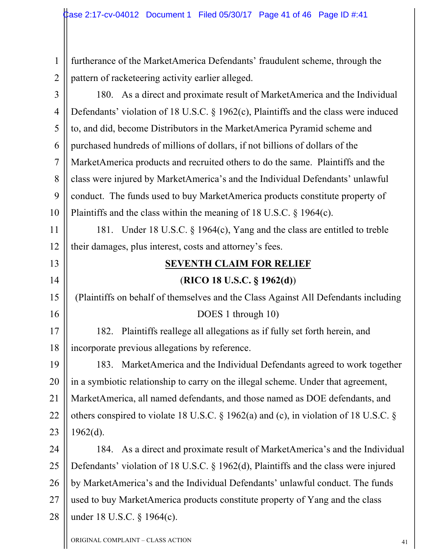1 1 2 2 furtherance of the MarketAmerica Defendants' fraudulent scheme, through the pattern of racketeering activity earlier alleged.

3 3 4 4 5 5 6 6 7 7 8 8 9 9 10 10 180. As a direct and proximate result of MarketAmerica and the Individual Defendants' violation of 18 U.S.C. § 1962(c), Plaintiffs and the class were induced to, and did, become Distributors in the MarketAmerica Pyramid scheme and purchased hundreds of millions of dollars, if not billions of dollars of the MarketAmerica products and recruited others to do the same. Plaintiffs and the class were injured by MarketAmerica's and the Individual Defendants' unlawful conduct. The funds used to buy MarketAmerica products constitute property of Plaintiffs and the class within the meaning of 18 U.S.C. § 1964(c).

11 11 12 12 181. Under 18 U.S.C. § 1964(c), Yang and the class are entitled to treble their damages, plus interest, costs and attorney's fees.

### **SEVENTH CLAIM FOR RELIEF** (**RICO 18 U.S.C. § 1962(d)**)

# (Plaintiffs on behalf of themselves and the Class Against All Defendants including DOES 1 through 10)

17 17 18 18 182. Plaintiffs reallege all allegations as if fully set forth herein, and incorporate previous allegations by reference.

19 19 20 20 21 21 22 22 23 23 183. MarketAmerica and the Individual Defendants agreed to work together in a symbiotic relationship to carry on the illegal scheme. Under that agreement, MarketAmerica, all named defendants, and those named as DOE defendants, and others conspired to violate 18 U.S.C. § 1962(a) and (c), in violation of 18 U.S.C. § 1962(d).

24 24 25 25 26 26 27 27 28 28 184. As a direct and proximate result of MarketAmerica's and the Individual Defendants' violation of 18 U.S.C. § 1962(d), Plaintiffs and the class were injured by MarketAmerica's and the Individual Defendants' unlawful conduct. The funds used to buy MarketAmerica products constitute property of Yang and the class under 18 U.S.C. § 1964(c).

13 13

14 14

15 15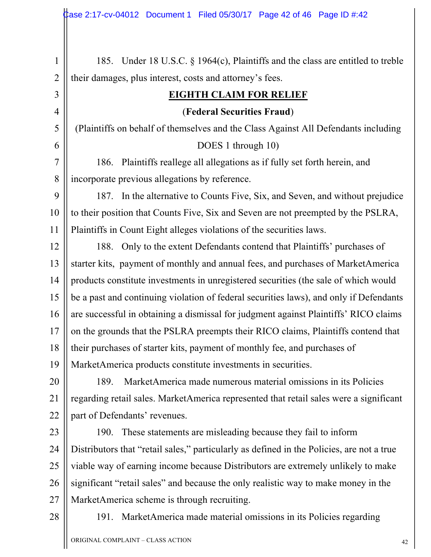| $\mathbf{1}$   | 185. Under 18 U.S.C. § 1964(c), Plaintiffs and the class are entitled to treble           |
|----------------|-------------------------------------------------------------------------------------------|
| $\overline{2}$ | their damages, plus interest, costs and attorney's fees.                                  |
| 3              | <b>EIGHTH CLAIM FOR RELIEF</b>                                                            |
| $\overline{4}$ | (Federal Securities Fraud)                                                                |
| 5              | (Plaintiffs on behalf of themselves and the Class Against All Defendants including        |
| 6              | DOES 1 through 10)                                                                        |
| $\overline{7}$ | Plaintiffs reallege all allegations as if fully set forth herein, and<br>186.             |
| 8              | incorporate previous allegations by reference.                                            |
| 9              | 187. In the alternative to Counts Five, Six, and Seven, and without prejudice             |
| 10             | to their position that Counts Five, Six and Seven are not preempted by the PSLRA,         |
| 11             | Plaintiffs in Count Eight alleges violations of the securities laws.                      |
| 12             | Only to the extent Defendants contend that Plaintiffs' purchases of<br>188.               |
| 13             | starter kits, payment of monthly and annual fees, and purchases of MarketAmerica          |
| 14             | products constitute investments in unregistered securities (the sale of which would       |
| 15             | be a past and continuing violation of federal securities laws), and only if Defendants    |
| 16             | are successful in obtaining a dismissal for judgment against Plaintiffs' RICO claims      |
| 17             | on the grounds that the PSLRA preempts their RICO claims, Plaintiffs contend that         |
| 18             | their purchases of starter kits, payment of monthly fee, and purchases of                 |
| 19             | MarketAmerica products constitute investments in securities.                              |
| 20             | MarketAmerica made numerous material omissions in its Policies<br>189.                    |
| 21             | regarding retail sales. MarketAmerica represented that retail sales were a significant    |
| 22             | part of Defendants' revenues.                                                             |
| 23             | These statements are misleading because they fail to inform<br>190.                       |
| 24             | Distributors that "retail sales," particularly as defined in the Policies, are not a true |
| 25             | viable way of earning income because Distributors are extremely unlikely to make          |
| 26             | significant "retail sales" and because the only realistic way to make money in the        |
| 27             | MarketAmerica scheme is through recruiting.                                               |

191. MarketAmerica made material omissions in its Policies regarding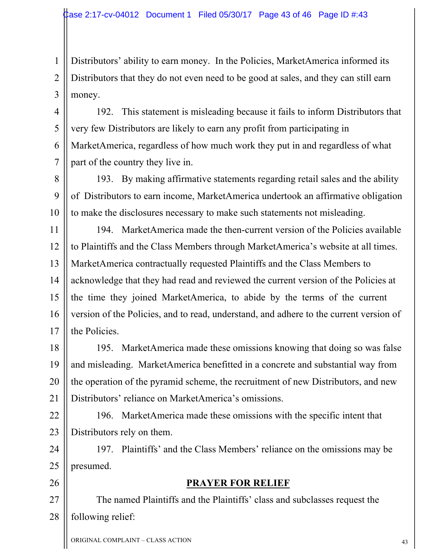1 1 2 2 3 3 Distributors' ability to earn money. In the Policies, MarketAmerica informed its Distributors that they do not even need to be good at sales, and they can still earn money.

4 4 5 5 6 6 7 7 192. This statement is misleading because it fails to inform Distributors that very few Distributors are likely to earn any profit from participating in MarketAmerica, regardless of how much work they put in and regardless of what part of the country they live in.

8 8 9 9 10 10 193. By making affirmative statements regarding retail sales and the ability of Distributors to earn income, MarketAmerica undertook an affirmative obligation to make the disclosures necessary to make such statements not misleading.

11 11 12 12 13 13 14 14 15 15 16 16 17 17 194. MarketAmerica made the then-current version of the Policies available to Plaintiffs and the Class Members through MarketAmerica's website at all times. MarketAmerica contractually requested Plaintiffs and the Class Members to acknowledge that they had read and reviewed the current version of the Policies at the time they joined MarketAmerica, to abide by the terms of the current version of the Policies, and to read, understand, and adhere to the current version of the Policies.

18 18 19 19 20 20 21 21 195. MarketAmerica made these omissions knowing that doing so was false and misleading. MarketAmerica benefitted in a concrete and substantial way from the operation of the pyramid scheme, the recruitment of new Distributors, and new Distributors' reliance on MarketAmerica's omissions.

22 22 23 23 196. MarketAmerica made these omissions with the specific intent that Distributors rely on them.

24 24 25 25 197. Plaintiffs' and the Class Members' reliance on the omissions may be presumed.

26 26

### **PRAYER FOR RELIEF**

27 27 28 28 The named Plaintiffs and the Plaintiffs' class and subclasses request the following relief: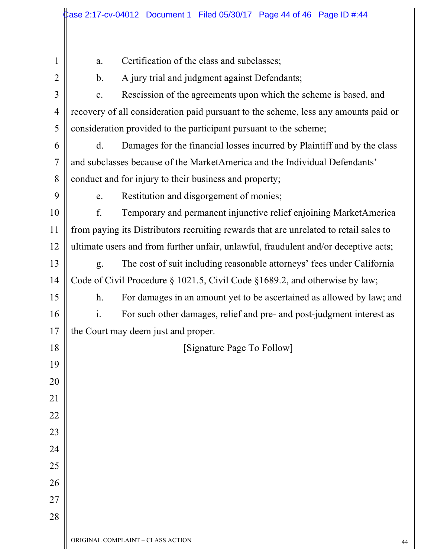|                |                                                                                       | $\,\,\,$ Case 2:17-cv-04012 Document 1 Filed 05/30/17 Page 44 of 46 Page ID #:44    |    |
|----------------|---------------------------------------------------------------------------------------|-------------------------------------------------------------------------------------|----|
|                |                                                                                       |                                                                                     |    |
| 1              | a.                                                                                    | Certification of the class and subclasses;                                          |    |
| $\overline{2}$ | $\mathbf b$ .                                                                         | A jury trial and judgment against Defendants;                                       |    |
| 3              | $\mathbf{c}$ .                                                                        | Rescission of the agreements upon which the scheme is based, and                    |    |
| $\overline{4}$ |                                                                                       | recovery of all consideration paid pursuant to the scheme, less any amounts paid or |    |
| 5              |                                                                                       | consideration provided to the participant pursuant to the scheme;                   |    |
| 6              | $d_{\cdot}$                                                                           | Damages for the financial losses incurred by Plaintiff and by the class             |    |
| 7              |                                                                                       | and subclasses because of the MarketAmerica and the Individual Defendants'          |    |
| 8              |                                                                                       | conduct and for injury to their business and property;                              |    |
| 9              | e.                                                                                    | Restitution and disgorgement of monies;                                             |    |
| 10             | f.                                                                                    | Temporary and permanent injunctive relief enjoining MarketAmerica                   |    |
| 11             | from paying its Distributors recruiting rewards that are unrelated to retail sales to |                                                                                     |    |
| 12             | ultimate users and from further unfair, unlawful, fraudulent and/or deceptive acts;   |                                                                                     |    |
| 13             | g.                                                                                    | The cost of suit including reasonable attorneys' fees under California              |    |
| 14             | Code of Civil Procedure $\S 1021.5$ , Civil Code $\S 1689.2$ , and otherwise by law;  |                                                                                     |    |
| 15             | h <sub>1</sub>                                                                        | For damages in an amount yet to be ascertained as allowed by law; and               |    |
| 16             | $\mathbf{i}$ .                                                                        | For such other damages, relief and pre- and post-judgment interest as               |    |
| 17             |                                                                                       | the Court may deem just and proper.                                                 |    |
| 18             |                                                                                       | [Signature Page To Follow]                                                          |    |
| 19             |                                                                                       |                                                                                     |    |
| 20             |                                                                                       |                                                                                     |    |
| 21             |                                                                                       |                                                                                     |    |
| 22             |                                                                                       |                                                                                     |    |
| 23             |                                                                                       |                                                                                     |    |
| 24             |                                                                                       |                                                                                     |    |
| 25             |                                                                                       |                                                                                     |    |
| 26             |                                                                                       |                                                                                     |    |
| 27             |                                                                                       |                                                                                     |    |
| 28             |                                                                                       |                                                                                     |    |
|                |                                                                                       | ORIGINAL COMPLAINT - CLASS ACTION                                                   | 44 |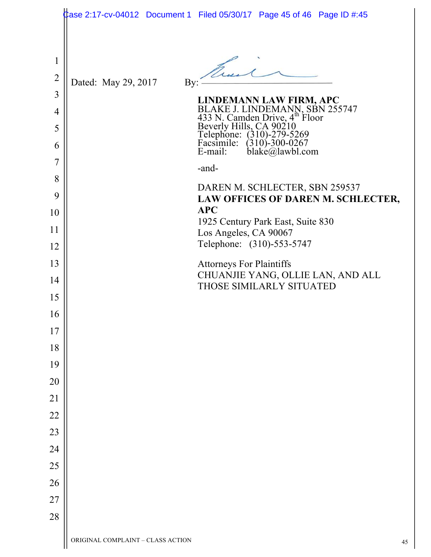|                                     |                                   | $\frac{1}{2}$ ase 2:17-cv-04012 Document 1 Filed 05/30/17 Page 45 of 46 Page ID #:45                                                                                                         |    |
|-------------------------------------|-----------------------------------|----------------------------------------------------------------------------------------------------------------------------------------------------------------------------------------------|----|
| $\mathbf{1}$<br>$\overline{2}$<br>3 | Dated: May 29, 2017<br>By:        |                                                                                                                                                                                              |    |
| 4                                   |                                   | LINDEMANN LAW FIRM, APC                                                                                                                                                                      |    |
| 5<br>6                              |                                   | BLAKE J. LINDEMANN, SBN 255747<br>433 N. Camden Drive, 4 <sup>th</sup> Floor<br>Beverly Hills, CA 90210<br>Telephone: (310)-279-5269<br>Facsimile: (310)-300-0267<br>E-mail: blake@lawbl.com |    |
| 7                                   |                                   |                                                                                                                                                                                              |    |
| 8                                   |                                   | -and-                                                                                                                                                                                        |    |
| 9                                   |                                   | DAREN M. SCHLECTER, SBN 259537<br>LAW OFFICES OF DAREN M. SCHLECTER,                                                                                                                         |    |
| 10                                  |                                   | <b>APC</b>                                                                                                                                                                                   |    |
| 11                                  |                                   | 1925 Century Park East, Suite 830<br>Los Angeles, CA 90067                                                                                                                                   |    |
| 12                                  |                                   | Telephone: (310)-553-5747                                                                                                                                                                    |    |
| 13                                  |                                   | <b>Attorneys For Plaintiffs</b>                                                                                                                                                              |    |
| 14                                  |                                   | CHUANJIE YANG, OLLIE LAN, AND ALL<br>THOSE SIMILARLY SITUATED                                                                                                                                |    |
| 15                                  |                                   |                                                                                                                                                                                              |    |
| 16                                  |                                   |                                                                                                                                                                                              |    |
| 17                                  |                                   |                                                                                                                                                                                              |    |
| 18                                  |                                   |                                                                                                                                                                                              |    |
| 19                                  |                                   |                                                                                                                                                                                              |    |
| 20                                  |                                   |                                                                                                                                                                                              |    |
| 21                                  |                                   |                                                                                                                                                                                              |    |
| 22                                  |                                   |                                                                                                                                                                                              |    |
| 23                                  |                                   |                                                                                                                                                                                              |    |
| 24<br>25                            |                                   |                                                                                                                                                                                              |    |
| 26                                  |                                   |                                                                                                                                                                                              |    |
| 27                                  |                                   |                                                                                                                                                                                              |    |
| 28                                  |                                   |                                                                                                                                                                                              |    |
|                                     | ORIGINAL COMPLAINT - CLASS ACTION |                                                                                                                                                                                              | 45 |